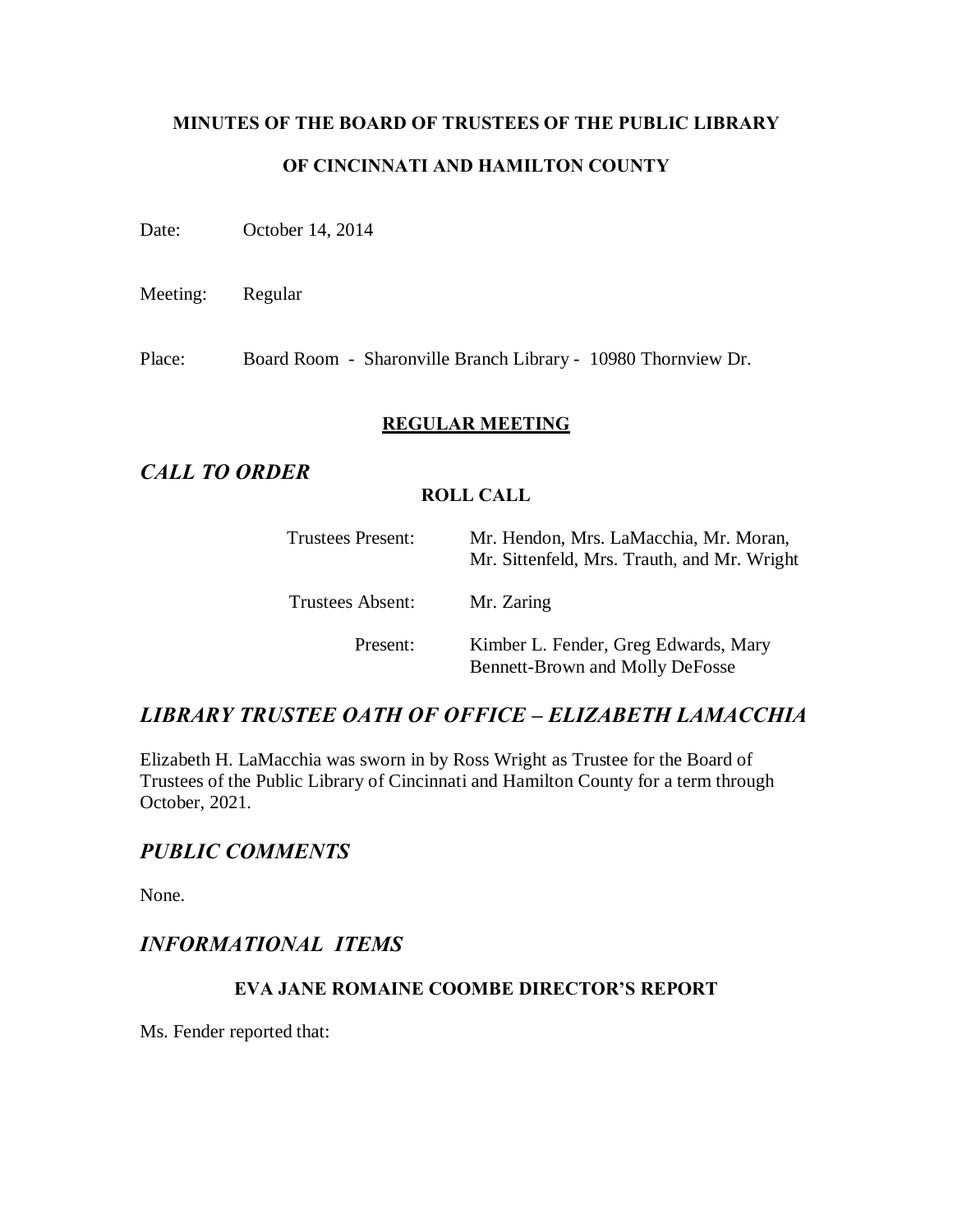# **MINUTES OF THE BOARD OF TRUSTEES OF THE PUBLIC LIBRARY OF CINCINNATI AND HAMILTON COUNTY**

Date: October 14, 2014

Meeting: Regular

Place: Board Room - Sharonville Branch Library - 10980 Thornview Dr.

### **REGULAR MEETING**

## *CALL TO ORDER*

### **ROLL CALL**

| Trustees Present: | Mr. Hendon, Mrs. LaMacchia, Mr. Moran,<br>Mr. Sittenfeld, Mrs. Trauth, and Mr. Wright |
|-------------------|---------------------------------------------------------------------------------------|
| Trustees Absent:  | Mr. Zaring                                                                            |
| Present:          | Kimber L. Fender, Greg Edwards, Mary<br><b>Bennett-Brown and Molly DeFosse</b>        |

## *LIBRARY TRUSTEE OATH OF OFFICE – ELIZABETH LAMACCHIA*

Elizabeth H. LaMacchia was sworn in by Ross Wright as Trustee for the Board of Trustees of the Public Library of Cincinnati and Hamilton County for a term through October, 2021.

## *PUBLIC COMMENTS*

None.

## *INFORMATIONAL ITEMS*

## **EVA JANE ROMAINE COOMBE DIRECTOR'S REPORT**

Ms. Fender reported that: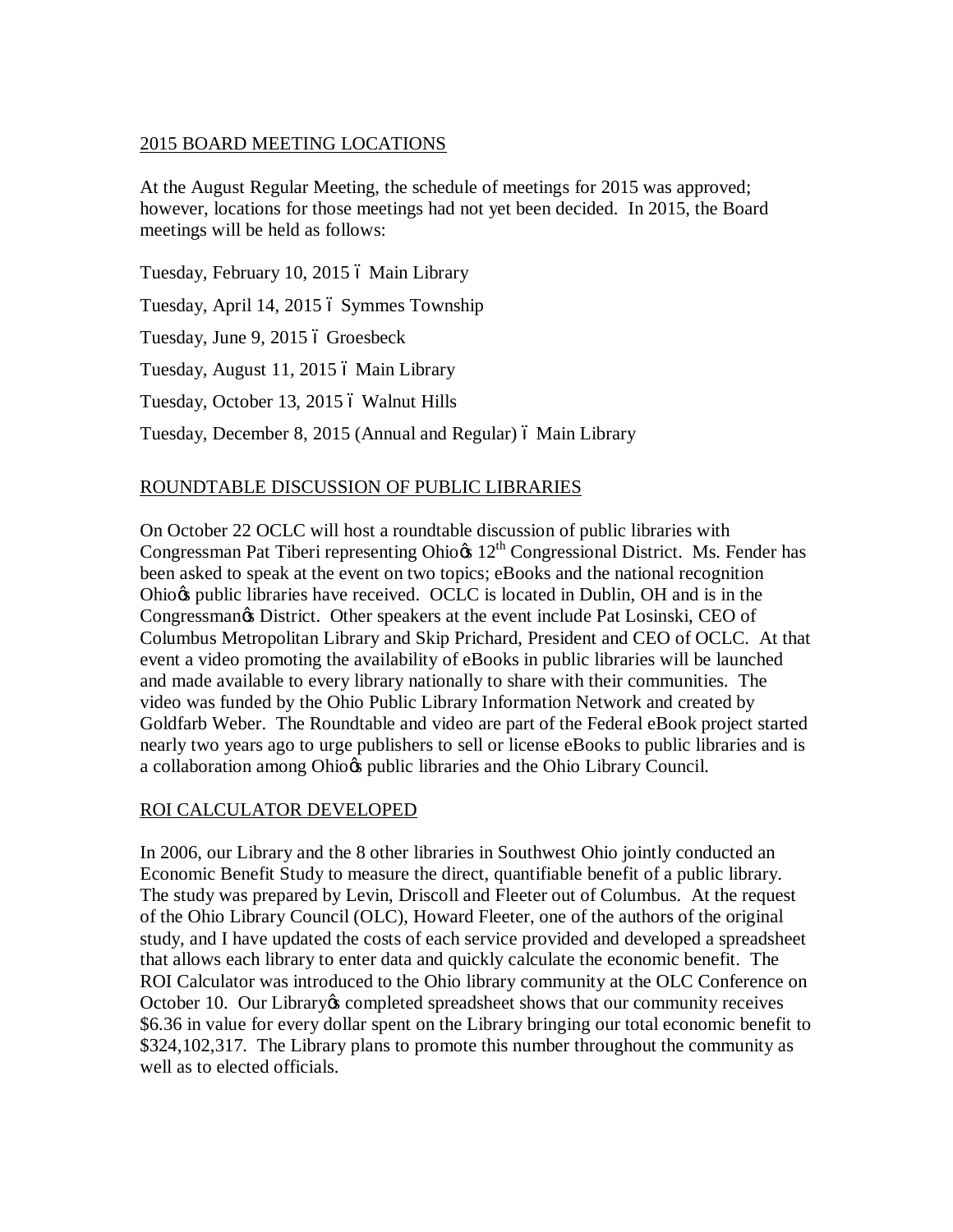## 2015 BOARD MEETING LOCATIONS

At the August Regular Meeting, the schedule of meetings for 2015 was approved; however, locations for those meetings had not yet been decided. In 2015, the Board meetings will be held as follows:

Tuesday, February 10, 2015 ó Main Library Tuesday, April 14, 2015 6 Symmes Township Tuesday, June 9, 2015 ó Groesbeck Tuesday, August 11, 2015 ó Main Library Tuesday, October 13, 2015 ó Walnut Hills Tuesday, December 8, 2015 (Annual and Regular) 6 Main Library

## ROUNDTABLE DISCUSSION OF PUBLIC LIBRARIES

On October 22 OCLC will host a roundtable discussion of public libraries with Congressman Pat Tiberi representing Ohio $\alpha$  12<sup>th</sup> Congressional District. Ms. Fender has been asked to speak at the event on two topics; eBooks and the national recognition Ohio $\alpha$  public libraries have received. OCLC is located in Dublin, OH and is in the Congressman $\infty$  District. Other speakers at the event include Pat Losinski, CEO of Columbus Metropolitan Library and Skip Prichard, President and CEO of OCLC. At that event a video promoting the availability of eBooks in public libraries will be launched and made available to every library nationally to share with their communities. The video was funded by the Ohio Public Library Information Network and created by Goldfarb Weber. The Roundtable and video are part of the Federal eBook project started nearly two years ago to urge publishers to sell or license eBooks to public libraries and is a collaboration among Ohio $\alpha$  public libraries and the Ohio Library Council.

#### ROI CALCULATOR DEVELOPED

In 2006, our Library and the 8 other libraries in Southwest Ohio jointly conducted an Economic Benefit Study to measure the direct, quantifiable benefit of a public library. The study was prepared by Levin, Driscoll and Fleeter out of Columbus. At the request of the Ohio Library Council (OLC), Howard Fleeter, one of the authors of the original study, and I have updated the costs of each service provided and developed a spreadsheet that allows each library to enter data and quickly calculate the economic benefit. The ROI Calculator was introduced to the Ohio library community at the OLC Conference on October 10. Our Library os completed spreadsheet shows that our community receives \$6.36 in value for every dollar spent on the Library bringing our total economic benefit to \$324,102,317. The Library plans to promote this number throughout the community as well as to elected officials.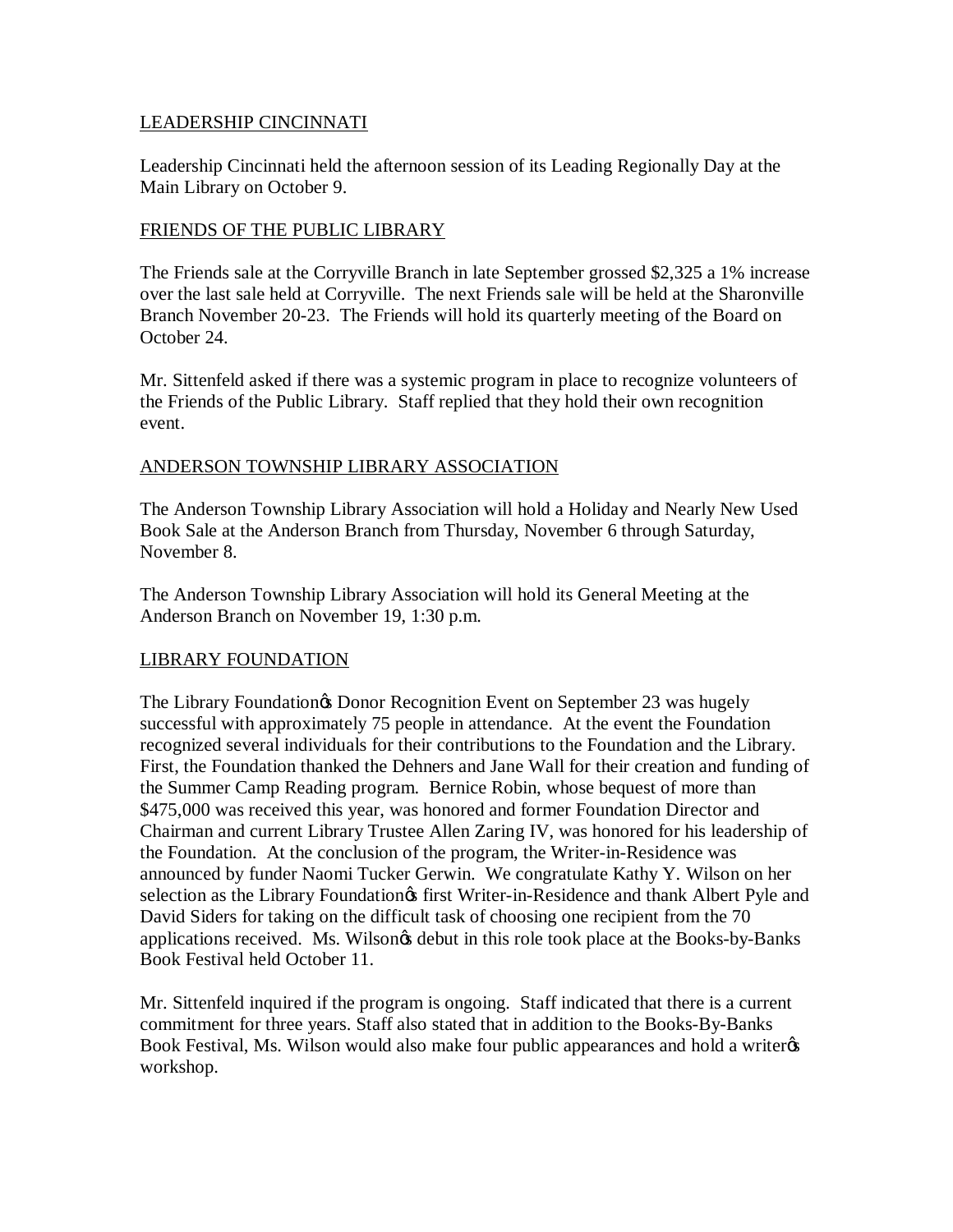### LEADERSHIP CINCINNATI

Leadership Cincinnati held the afternoon session of its Leading Regionally Day at the Main Library on October 9.

#### FRIENDS OF THE PUBLIC LIBRARY

The Friends sale at the Corryville Branch in late September grossed \$2,325 a 1% increase over the last sale held at Corryville. The next Friends sale will be held at the Sharonville Branch November 20-23. The Friends will hold its quarterly meeting of the Board on October 24.

Mr. Sittenfeld asked if there was a systemic program in place to recognize volunteers of the Friends of the Public Library. Staff replied that they hold their own recognition event.

### ANDERSON TOWNSHIP LIBRARY ASSOCIATION

The Anderson Township Library Association will hold a Holiday and Nearly New Used Book Sale at the Anderson Branch from Thursday, November 6 through Saturday, November 8.

The Anderson Township Library Association will hold its General Meeting at the Anderson Branch on November 19, 1:30 p.m.

## LIBRARY FOUNDATION

The Library Foundation $\alpha$  Donor Recognition Event on September 23 was hugely successful with approximately 75 people in attendance. At the event the Foundation recognized several individuals for their contributions to the Foundation and the Library. First, the Foundation thanked the Dehners and Jane Wall for their creation and funding of the Summer Camp Reading program. Bernice Robin, whose bequest of more than \$475,000 was received this year, was honored and former Foundation Director and Chairman and current Library Trustee Allen Zaring IV, was honored for his leadership of the Foundation. At the conclusion of the program, the Writer-in-Residence was announced by funder Naomi Tucker Gerwin. We congratulate Kathy Y. Wilson on her selection as the Library Foundation os first Writer-in-Residence and thank Albert Pyle and David Siders for taking on the difficult task of choosing one recipient from the 70 applications received. Ms. Wilsongs debut in this role took place at the Books-by-Banks Book Festival held October 11.

Mr. Sittenfeld inquired if the program is ongoing. Staff indicated that there is a current commitment for three years. Staff also stated that in addition to the Books-By-Banks Book Festival, Ms. Wilson would also make four public appearances and hold a writer  $\alpha$ workshop.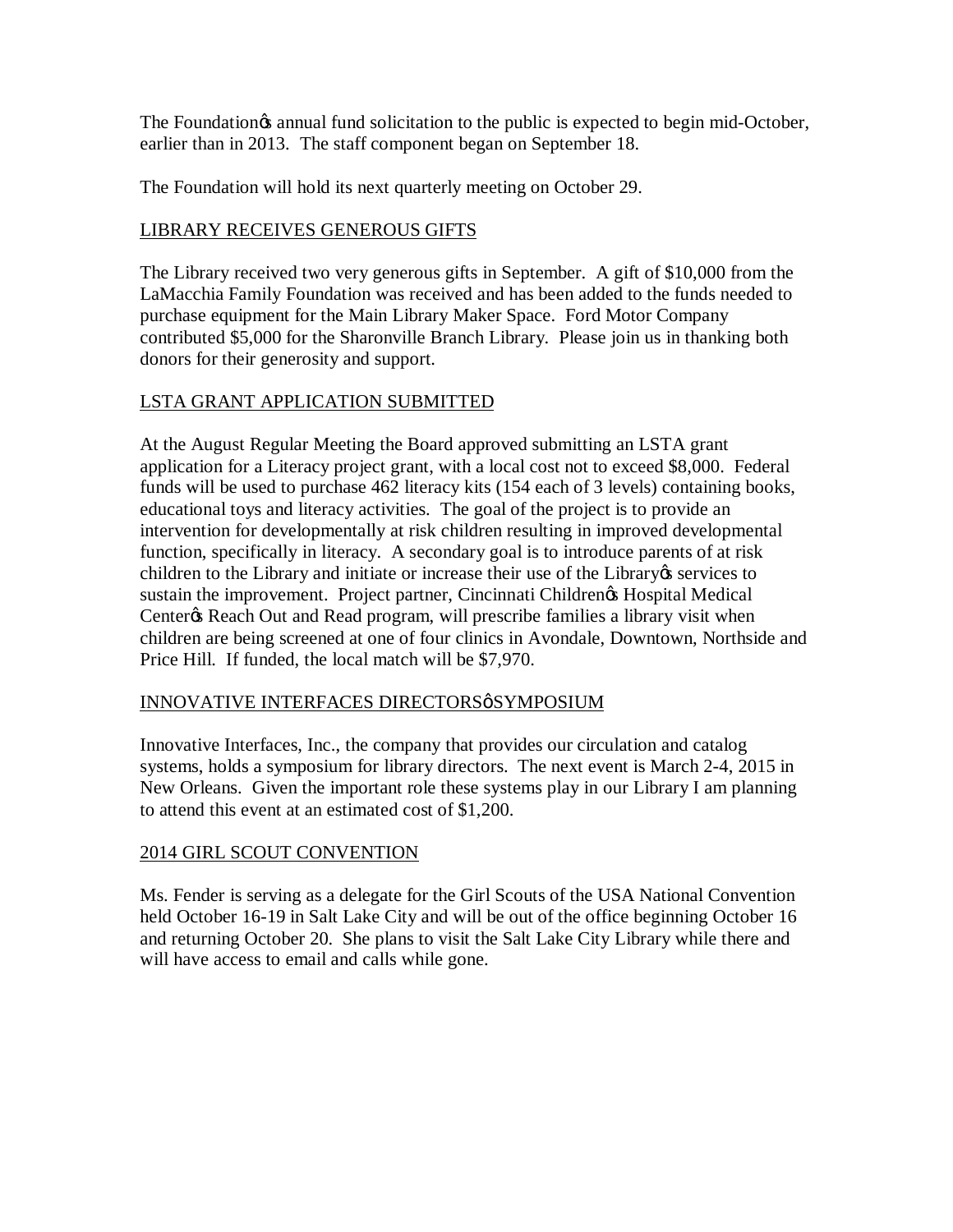The Foundation is annual fund solicitation to the public is expected to begin mid-October, earlier than in 2013. The staff component began on September 18.

The Foundation will hold its next quarterly meeting on October 29.

## LIBRARY RECEIVES GENEROUS GIFTS

The Library received two very generous gifts in September. A gift of \$10,000 from the LaMacchia Family Foundation was received and has been added to the funds needed to purchase equipment for the Main Library Maker Space. Ford Motor Company contributed \$5,000 for the Sharonville Branch Library. Please join us in thanking both donors for their generosity and support.

## LSTA GRANT APPLICATION SUBMITTED

At the August Regular Meeting the Board approved submitting an LSTA grant application for a Literacy project grant, with a local cost not to exceed \$8,000. Federal funds will be used to purchase 462 literacy kits (154 each of 3 levels) containing books, educational toys and literacy activities. The goal of the project is to provide an intervention for developmentally at risk children resulting in improved developmental function, specifically in literacy. A secondary goal is to introduce parents of at risk children to the Library and initiate or increase their use of the Library is services to sustain the improvement. Project partner, Cincinnati Children $\alpha$  Hospital Medical Center & Reach Out and Read program, will prescribe families a library visit when children are being screened at one of four clinics in Avondale, Downtown, Northside and Price Hill. If funded, the local match will be \$7,970.

#### INNOVATIVE INTERFACES DIRECTORSøSYMPOSIUM

Innovative Interfaces, Inc., the company that provides our circulation and catalog systems, holds a symposium for library directors. The next event is March 2-4, 2015 in New Orleans. Given the important role these systems play in our Library I am planning to attend this event at an estimated cost of \$1,200.

## 2014 GIRL SCOUT CONVENTION

Ms. Fender is serving as a delegate for the Girl Scouts of the USA National Convention held October 16-19 in Salt Lake City and will be out of the office beginning October 16 and returning October 20. She plans to visit the Salt Lake City Library while there and will have access to email and calls while gone.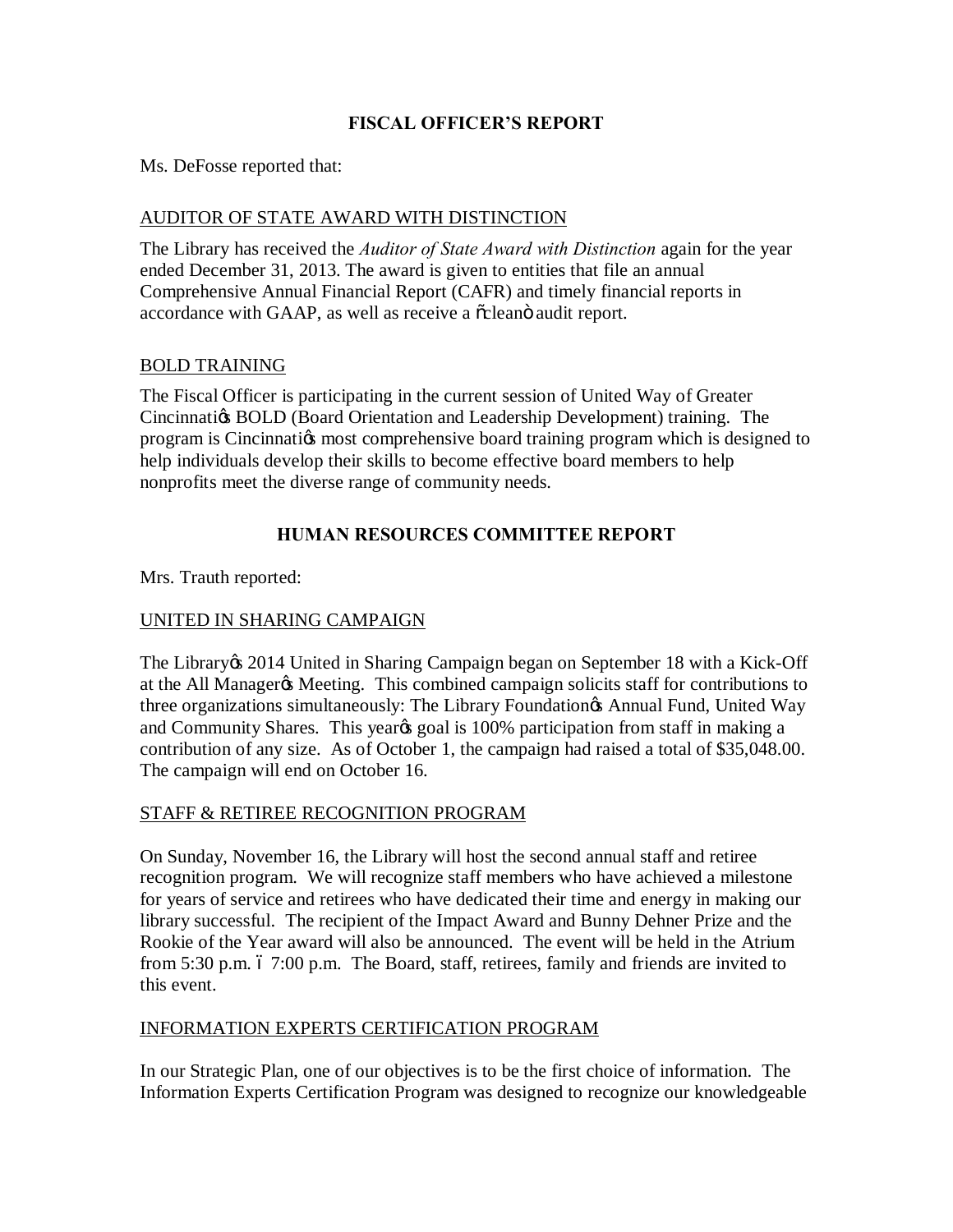## **FISCAL OFFICER'S REPORT**

Ms. DeFosse reported that:

## AUDITOR OF STATE AWARD WITH DISTINCTION

The Library has received the *Auditor of State Award with Distinction* again for the year ended December 31, 2013. The award is given to entities that file an annual Comprehensive Annual Financial Report (CAFR) and timely financial reports in accordance with GAAP, as well as receive a  $\tilde{\alpha}$  cleano audit report.

#### BOLD TRAINING

The Fiscal Officer is participating in the current session of United Way of Greater Cincinnation BOLD (Board Orientation and Leadership Development) training. The program is Cincinnation most comprehensive board training program which is designed to help individuals develop their skills to become effective board members to help nonprofits meet the diverse range of community needs.

## **HUMAN RESOURCES COMMITTEE REPORT**

Mrs. Trauth reported:

#### UNITED IN SHARING CAMPAIGN

The Library & 2014 United in Sharing Campaign began on September 18 with a Kick-Off at the All Manager & Meeting. This combined campaign solicits staff for contributions to three organizations simultaneously: The Library Foundation & Annual Fund, United Way and Community Shares. This year t goal is 100% participation from staff in making a contribution of any size. As of October 1, the campaign had raised a total of \$35,048.00. The campaign will end on October 16.

## STAFF & RETIREE RECOGNITION PROGRAM

On Sunday, November 16, the Library will host the second annual staff and retiree recognition program. We will recognize staff members who have achieved a milestone for years of service and retirees who have dedicated their time and energy in making our library successful. The recipient of the Impact Award and Bunny Dehner Prize and the Rookie of the Year award will also be announced. The event will be held in the Atrium from  $5:30$  p.m. 6  $7:00$  p.m. The Board, staff, retirees, family and friends are invited to this event.

#### INFORMATION EXPERTS CERTIFICATION PROGRAM

In our Strategic Plan, one of our objectives is to be the first choice of information. The Information Experts Certification Program was designed to recognize our knowledgeable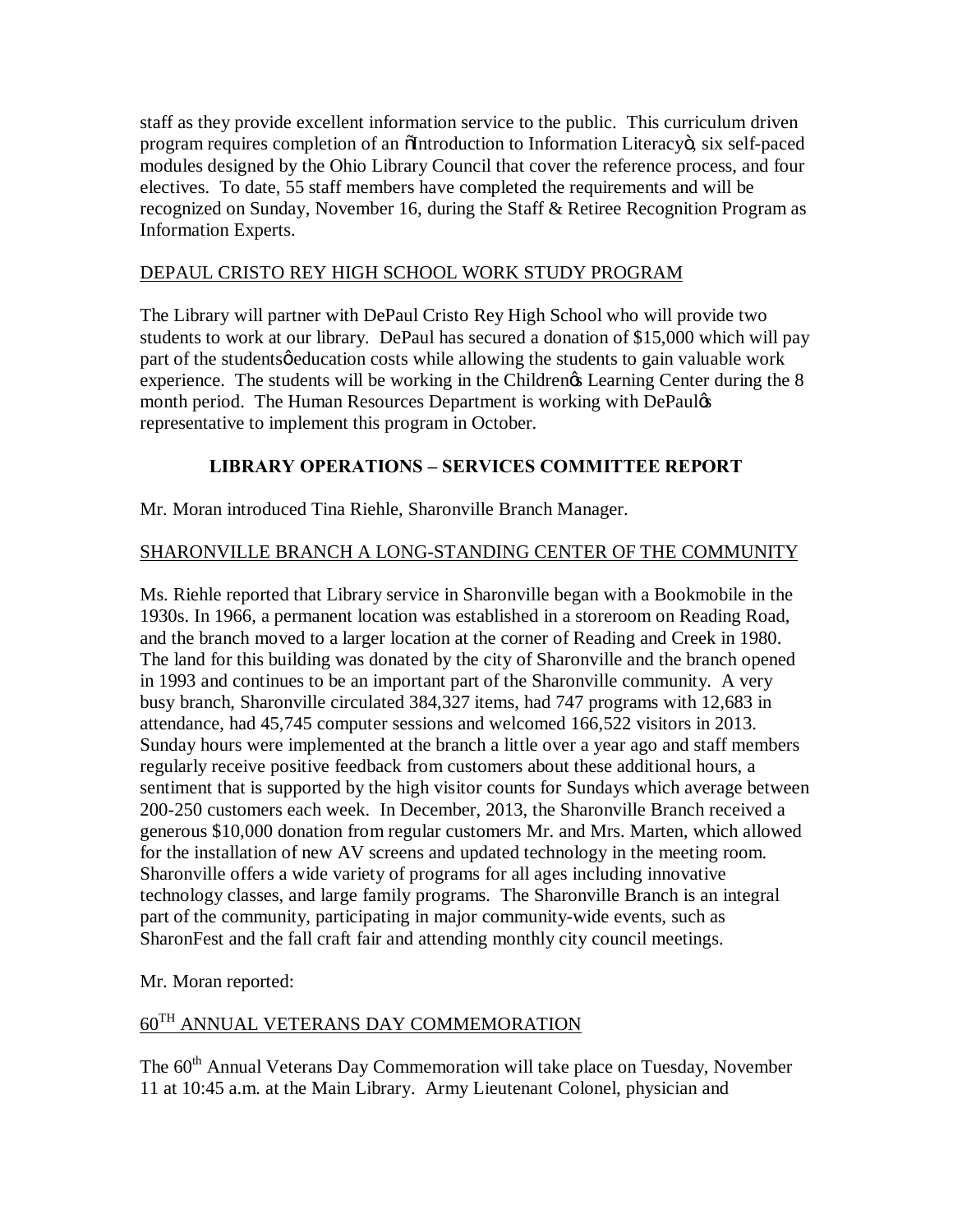staff as they provide excellent information service to the public. This curriculum driven program requires completion of an  $\tilde{o}$ Introduction to Information Literacy $\tilde{o}$ , six self-paced modules designed by the Ohio Library Council that cover the reference process, and four electives. To date, 55 staff members have completed the requirements and will be recognized on Sunday, November 16, during the Staff & Retiree Recognition Program as Information Experts.

## DEPAUL CRISTO REY HIGH SCHOOL WORK STUDY PROGRAM

The Library will partner with DePaul Cristo Rey High School who will provide two students to work at our library. DePaul has secured a donation of \$15,000 which will pay part of the studentsøeducation costs while allowing the students to gain valuable work experience. The students will be working in the Children $\alpha$  Learning Center during the 8 month period. The Human Resources Department is working with DePauløs representative to implement this program in October.

## **LIBRARY OPERATIONS – SERVICES COMMITTEE REPORT**

Mr. Moran introduced Tina Riehle, Sharonville Branch Manager.

## SHARONVILLE BRANCH A LONG-STANDING CENTER OF THE COMMUNITY

Ms. Riehle reported that Library service in Sharonville began with a Bookmobile in the 1930s. In 1966, a permanent location was established in a storeroom on Reading Road, and the branch moved to a larger location at the corner of Reading and Creek in 1980. The land for this building was donated by the city of Sharonville and the branch opened in 1993 and continues to be an important part of the Sharonville community. A very busy branch, Sharonville circulated 384,327 items, had 747 programs with 12,683 in attendance, had 45,745 computer sessions and welcomed 166,522 visitors in 2013. Sunday hours were implemented at the branch a little over a year ago and staff members regularly receive positive feedback from customers about these additional hours, a sentiment that is supported by the high visitor counts for Sundays which average between 200-250 customers each week. In December, 2013, the Sharonville Branch received a generous \$10,000 donation from regular customers Mr. and Mrs. Marten, which allowed for the installation of new AV screens and updated technology in the meeting room. Sharonville offers a wide variety of programs for all ages including innovative technology classes, and large family programs. The Sharonville Branch is an integral part of the community, participating in major community-wide events, such as SharonFest and the fall craft fair and attending monthly city council meetings.

Mr. Moran reported:

## 60TH ANNUAL VETERANS DAY COMMEMORATION

The 60<sup>th</sup> Annual Veterans Day Commemoration will take place on Tuesday, November 11 at 10:45 a.m. at the Main Library. Army Lieutenant Colonel, physician and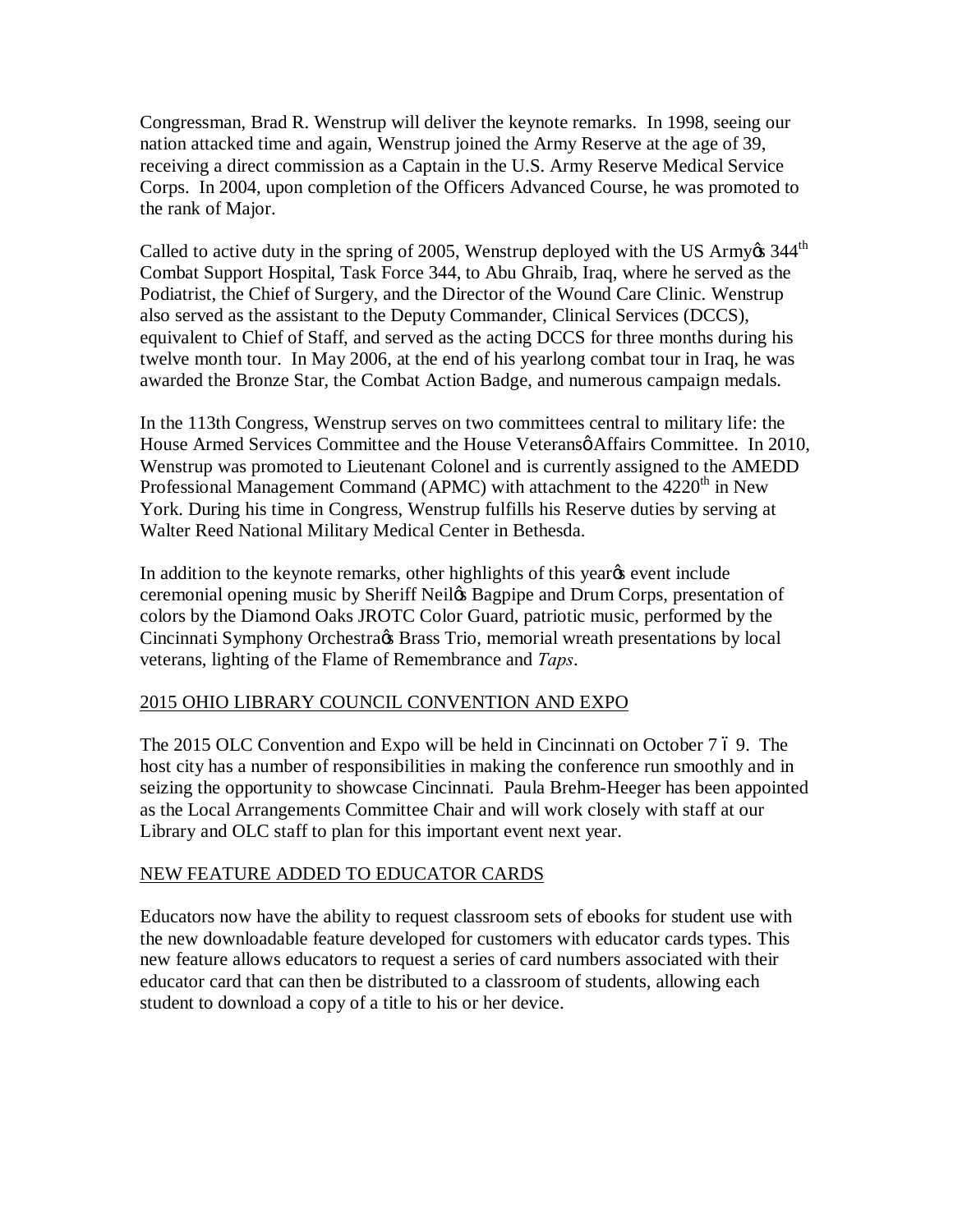Congressman, Brad R. Wenstrup will deliver the keynote remarks. In 1998, seeing our nation attacked time and again, Wenstrup joined the Army Reserve at the age of 39, receiving a direct commission as a Captain in the U.S. Army Reserve Medical Service Corps. In 2004, upon completion of the Officers Advanced Course, he was promoted to the rank of Major.

Called to active duty in the spring of 2005, Wenstrup deployed with the US Army% 344<sup>th</sup> Combat Support Hospital, Task Force 344, to Abu Ghraib, Iraq, where he served as the Podiatrist, the Chief of Surgery, and the Director of the Wound Care Clinic. Wenstrup also served as the assistant to the Deputy Commander, Clinical Services (DCCS), equivalent to Chief of Staff, and served as the acting DCCS for three months during his twelve month tour. In May 2006, at the end of his yearlong combat tour in Iraq, he was awarded the Bronze Star, the Combat Action Badge, and numerous campaign medals.

In the 113th Congress, Wenstrup serves on two committees central to military life: the House Armed Services Committee and the House Veteransø Affairs Committee. In 2010, Wenstrup was promoted to Lieutenant Colonel and is currently assigned to the AMEDD Professional Management Command (APMC) with attachment to the  $4220<sup>th</sup>$  in New York. During his time in Congress, Wenstrup fulfills his Reserve duties by serving at Walter Reed National Military Medical Center in Bethesda.

In addition to the keynote remarks, other highlights of this year<sub>g</sub> event include ceremonial opening music by Sheriff Neil $\alpha$  Bagpipe and Drum Corps, presentation of colors by the Diamond Oaks JROTC Color Guard, patriotic music, performed by the Cincinnati Symphony Orchestra $\alpha$  Brass Trio, memorial wreath presentations by local veterans, lighting of the Flame of Remembrance and *Taps*.

#### 2015 OHIO LIBRARY COUNCIL CONVENTION AND EXPO

The 2015 OLC Convention and Expo will be held in Cincinnati on October 7 69. The host city has a number of responsibilities in making the conference run smoothly and in seizing the opportunity to showcase Cincinnati. Paula Brehm-Heeger has been appointed as the Local Arrangements Committee Chair and will work closely with staff at our Library and OLC staff to plan for this important event next year.

#### NEW FEATURE ADDED TO EDUCATOR CARDS

Educators now have the ability to request classroom sets of ebooks for student use with the new downloadable feature developed for customers with educator cards types. This new feature allows educators to request a series of card numbers associated with their educator card that can then be distributed to a classroom of students, allowing each student to download a copy of a title to his or her device.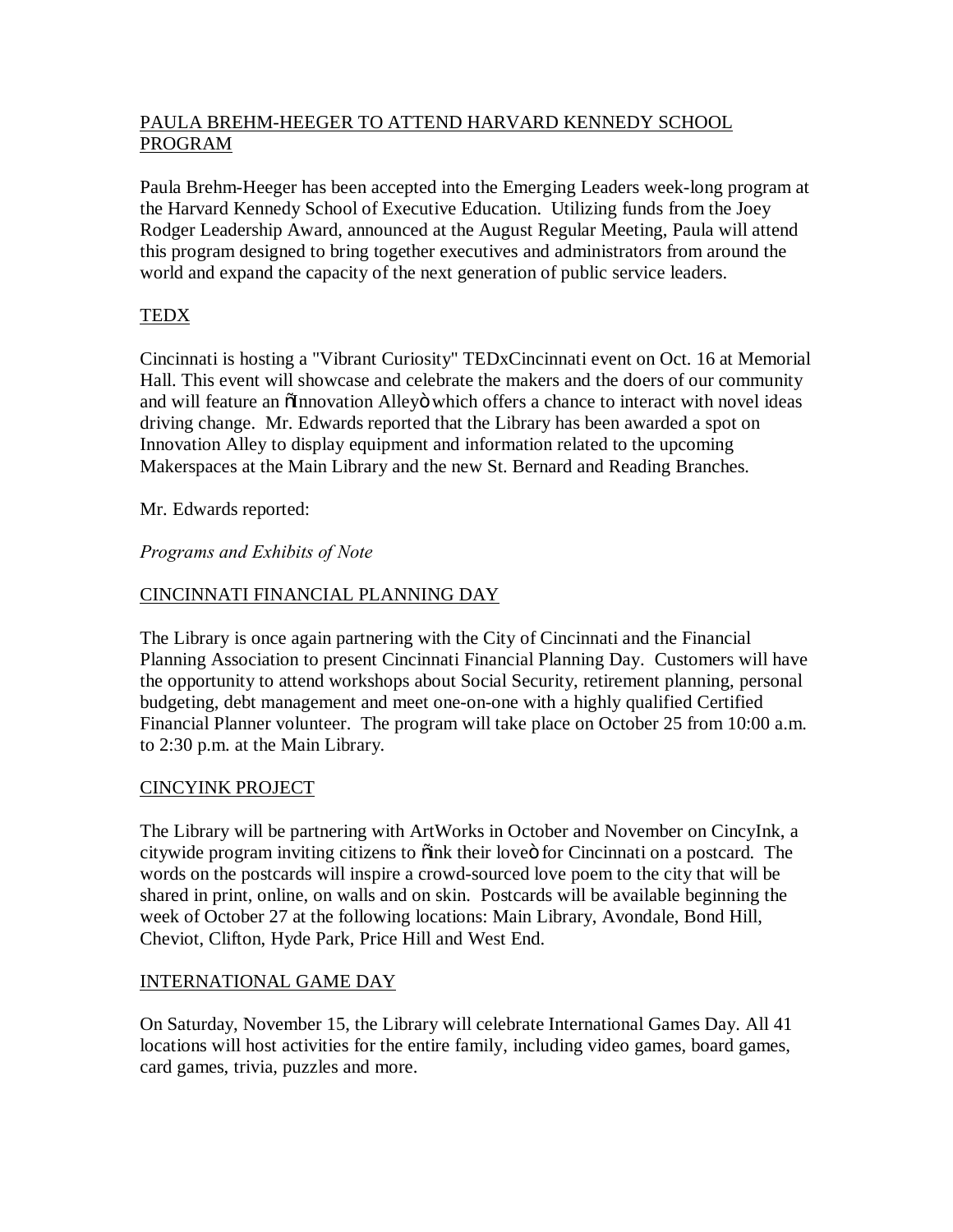## PAULA BREHM-HEEGER TO ATTEND HARVARD KENNEDY SCHOOL PROGRAM

Paula Brehm-Heeger has been accepted into the Emerging Leaders week-long program at the Harvard Kennedy School of Executive Education. Utilizing funds from the Joey Rodger Leadership Award, announced at the August Regular Meeting, Paula will attend this program designed to bring together executives and administrators from around the world and expand the capacity of the next generation of public service leaders.

## **TEDX**

Cincinnati is hosting a "Vibrant Curiosity" TEDxCincinnati event on Oct. 16 at Memorial Hall. This event will showcase and celebrate the makers and the doers of our community and will feature an  $\tilde{o}$ Innovation Alley $\ddot{o}$  which offers a chance to interact with novel ideas driving change. Mr. Edwards reported that the Library has been awarded a spot on Innovation Alley to display equipment and information related to the upcoming Makerspaces at the Main Library and the new St. Bernard and Reading Branches.

Mr. Edwards reported:

## *Programs and Exhibits of Note*

## CINCINNATI FINANCIAL PLANNING DAY

The Library is once again partnering with the City of Cincinnati and the Financial Planning Association to present Cincinnati Financial Planning Day. Customers will have the opportunity to attend workshops about Social Security, retirement planning, personal budgeting, debt management and meet one-on-one with a highly qualified Certified Financial Planner volunteer. The program will take place on October 25 from 10:00 a.m. to 2:30 p.m. at the Main Library.

## CINCYINK PROJECT

The Library will be partnering with ArtWorks in October and November on CincyInk, a citywide program inviting citizens to  $\ddot{\text{o}}$  ink their love for Cincinnati on a postcard. The words on the postcards will inspire a crowd-sourced love poem to the city that will be shared in print, online, on walls and on skin. Postcards will be available beginning the week of October 27 at the following locations: Main Library, Avondale, Bond Hill, Cheviot, Clifton, Hyde Park, Price Hill and West End.

## INTERNATIONAL GAME DAY

On Saturday, November 15, the Library will celebrate International Games Day. All 41 locations will host activities for the entire family, including video games, board games, card games, trivia, puzzles and more.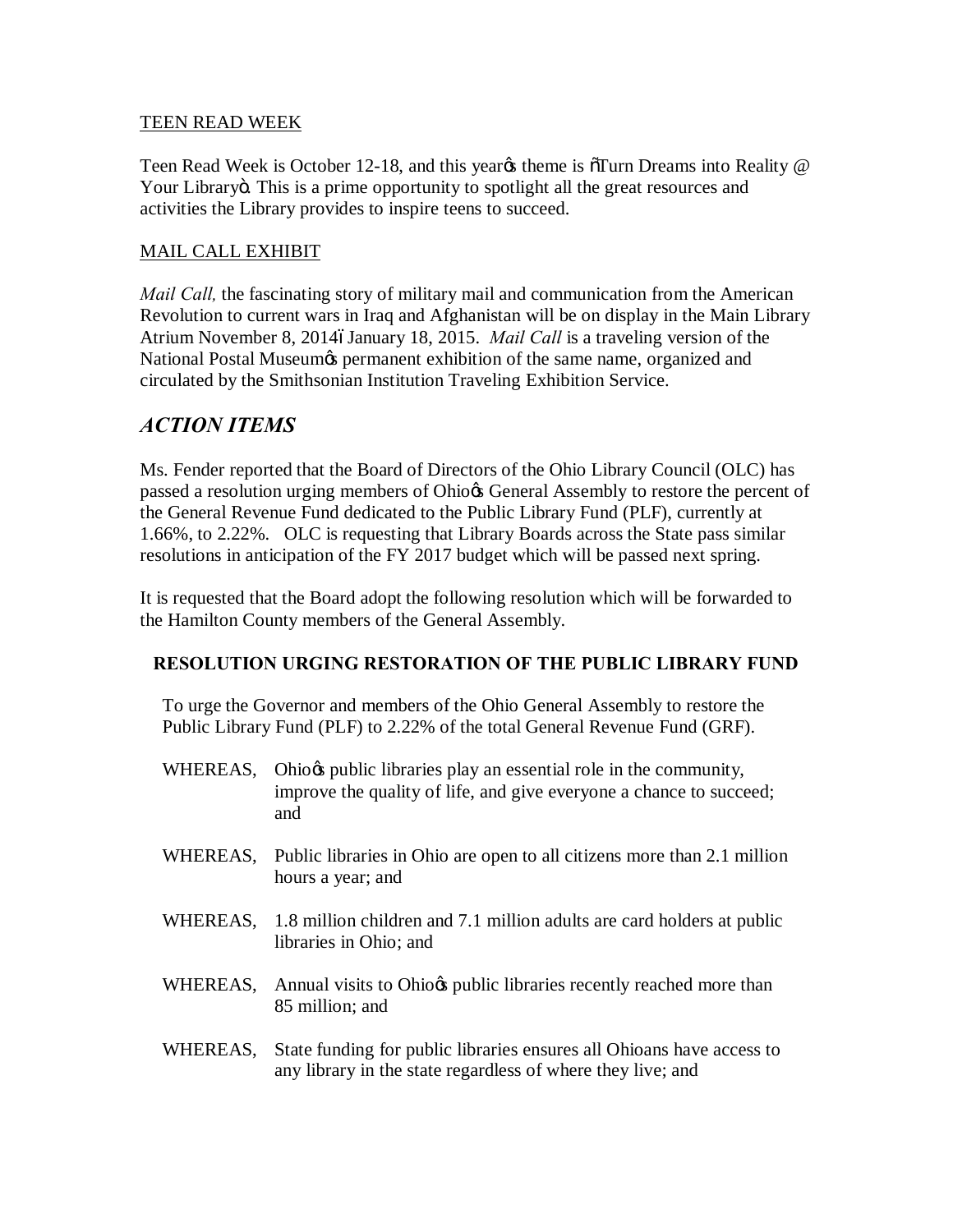#### TEEN READ WEEK

Teen Read Week is October 12-18, and this yeargs theme is  $\delta$ Turn Dreams into Reality  $\omega$ Your Libraryö. This is a prime opportunity to spotlight all the great resources and activities the Library provides to inspire teens to succeed.

### MAIL CALL EXHIBIT

*Mail Call*, the fascinating story of military mail and communication from the American Revolution to current wars in Iraq and Afghanistan will be on display in the Main Library Atrium November 8, 20146January 18, 2015. *Mail Call* is a traveling version of the National Postal Museumøs permanent exhibition of the same name, organized and circulated by the Smithsonian Institution Traveling Exhibition Service.

## *ACTION ITEMS*

Ms. Fender reported that the Board of Directors of the Ohio Library Council (OLC) has passed a resolution urging members of Ohio $\alpha$  General Assembly to restore the percent of the General Revenue Fund dedicated to the Public Library Fund (PLF), currently at 1.66%, to 2.22%. OLC is requesting that Library Boards across the State pass similar resolutions in anticipation of the FY 2017 budget which will be passed next spring.

It is requested that the Board adopt the following resolution which will be forwarded to the Hamilton County members of the General Assembly.

#### **RESOLUTION URGING RESTORATION OF THE PUBLIC LIBRARY FUND**

To urge the Governor and members of the Ohio General Assembly to restore the Public Library Fund (PLF) to 2.22% of the total General Revenue Fund (GRF).

- WHEREAS, Ohio $\alpha$  public libraries play an essential role in the community, improve the quality of life, and give everyone a chance to succeed; and
- WHEREAS, Public libraries in Ohio are open to all citizens more than 2.1 million hours a year; and
- WHEREAS, 1.8 million children and 7.1 million adults are card holders at public libraries in Ohio; and
- WHEREAS, Annual visits to Ohio $\alpha$  public libraries recently reached more than 85 million; and
- WHEREAS, State funding for public libraries ensures all Ohioans have access to any library in the state regardless of where they live; and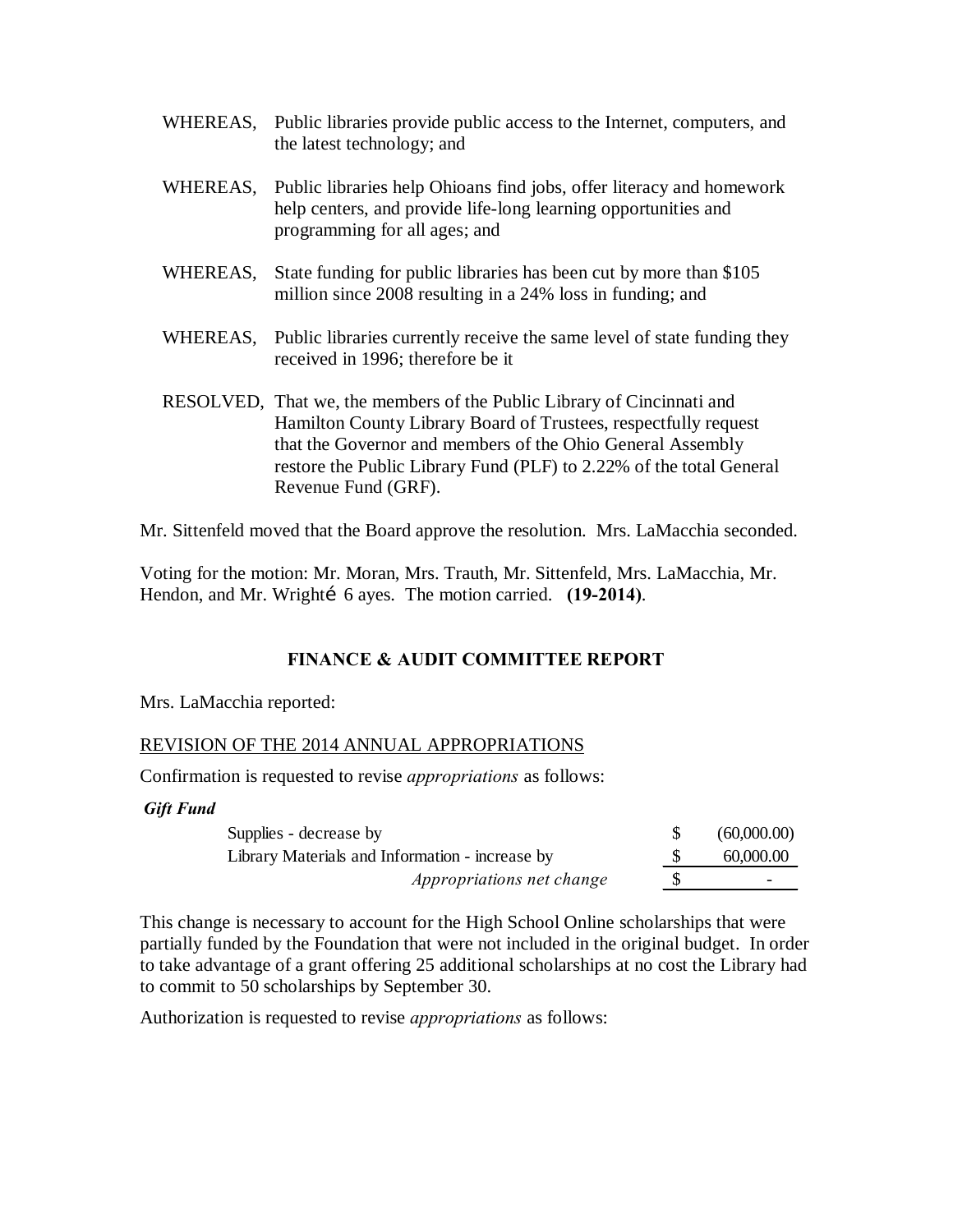- WHEREAS, Public libraries provide public access to the Internet, computers, and the latest technology; and
- WHEREAS, Public libraries help Ohioans find jobs, offer literacy and homework help centers, and provide life-long learning opportunities and programming for all ages; and
- WHEREAS, State funding for public libraries has been cut by more than \$105 million since 2008 resulting in a 24% loss in funding; and
- WHEREAS, Public libraries currently receive the same level of state funding they received in 1996; therefore be it
- RESOLVED, That we, the members of the Public Library of Cincinnati and Hamilton County Library Board of Trustees, respectfully request that the Governor and members of the Ohio General Assembly restore the Public Library Fund (PLF) to 2.22% of the total General Revenue Fund (GRF).

Mr. Sittenfeld moved that the Board approve the resolution. Mrs. LaMacchia seconded.

Voting for the motion: Mr. Moran, Mrs. Trauth, Mr. Sittenfeld, Mrs. LaMacchia, Mr. Hendon, and Mr. Wrighti 6 ayes. The motion carried. **(19-2014)**.

## **FINANCE & AUDIT COMMITTEE REPORT**

Mrs. LaMacchia reported:

#### REVISION OF THE 2014 ANNUAL APPROPRIATIONS

Confirmation is requested to revise *appropriations* as follows:

*Gift Fund*

| Supplies - decrease by                          | (60,000.00) |
|-------------------------------------------------|-------------|
| Library Materials and Information - increase by | 60,000,00   |
| <i>Appropriations net change</i>                |             |

This change is necessary to account for the High School Online scholarships that were partially funded by the Foundation that were not included in the original budget. In order to take advantage of a grant offering 25 additional scholarships at no cost the Library had to commit to 50 scholarships by September 30.

Authorization is requested to revise *appropriations* as follows: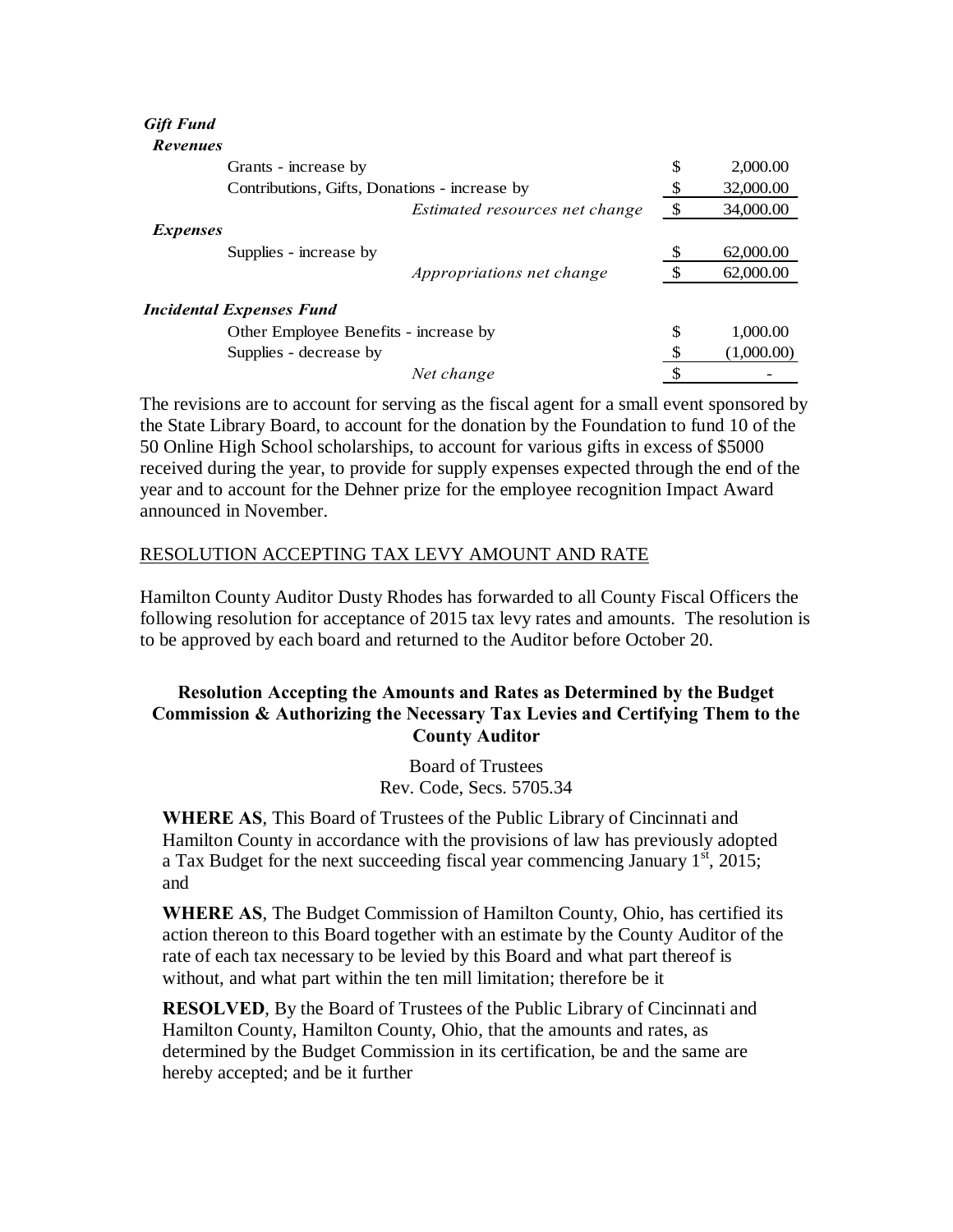#### *Gift Fund Revenues*

| Grants - increase by                          | \$           | 2,000.00   |
|-----------------------------------------------|--------------|------------|
| Contributions, Gifts, Donations - increase by | S            | 32,000.00  |
| Estimated resources net change                | $\mathbb{S}$ | 34,000.00  |
| <i>Expenses</i>                               |              |            |
| Supplies - increase by                        |              | 62,000.00  |
| <i>Appropriations net change</i>              |              | 62,000.00  |
| <b>Incidental Expenses Fund</b>               |              |            |
| Other Employee Benefits - increase by         | \$           | 1,000.00   |
| Supplies - decrease by                        | \$           | (1,000.00) |
| Net change                                    |              |            |

The revisions are to account for serving as the fiscal agent for a small event sponsored by the State Library Board, to account for the donation by the Foundation to fund 10 of the 50 Online High School scholarships, to account for various gifts in excess of \$5000 received during the year, to provide for supply expenses expected through the end of the year and to account for the Dehner prize for the employee recognition Impact Award announced in November.

#### RESOLUTION ACCEPTING TAX LEVY AMOUNT AND RATE

Hamilton County Auditor Dusty Rhodes has forwarded to all County Fiscal Officers the following resolution for acceptance of 2015 tax levy rates and amounts. The resolution is to be approved by each board and returned to the Auditor before October 20.

## **Resolution Accepting the Amounts and Rates as Determined by the Budget Commission & Authorizing the Necessary Tax Levies and Certifying Them to the County Auditor**

Board of Trustees Rev. Code, Secs. 5705.34

**WHERE AS**, This Board of Trustees of the Public Library of Cincinnati and Hamilton County in accordance with the provisions of law has previously adopted a Tax Budget for the next succeeding fiscal year commencing January  $1<sup>st</sup>$ , 2015; and

**WHERE AS**, The Budget Commission of Hamilton County, Ohio, has certified its action thereon to this Board together with an estimate by the County Auditor of the rate of each tax necessary to be levied by this Board and what part thereof is without, and what part within the ten mill limitation; therefore be it

**RESOLVED**, By the Board of Trustees of the Public Library of Cincinnati and Hamilton County, Hamilton County, Ohio, that the amounts and rates, as determined by the Budget Commission in its certification, be and the same are hereby accepted; and be it further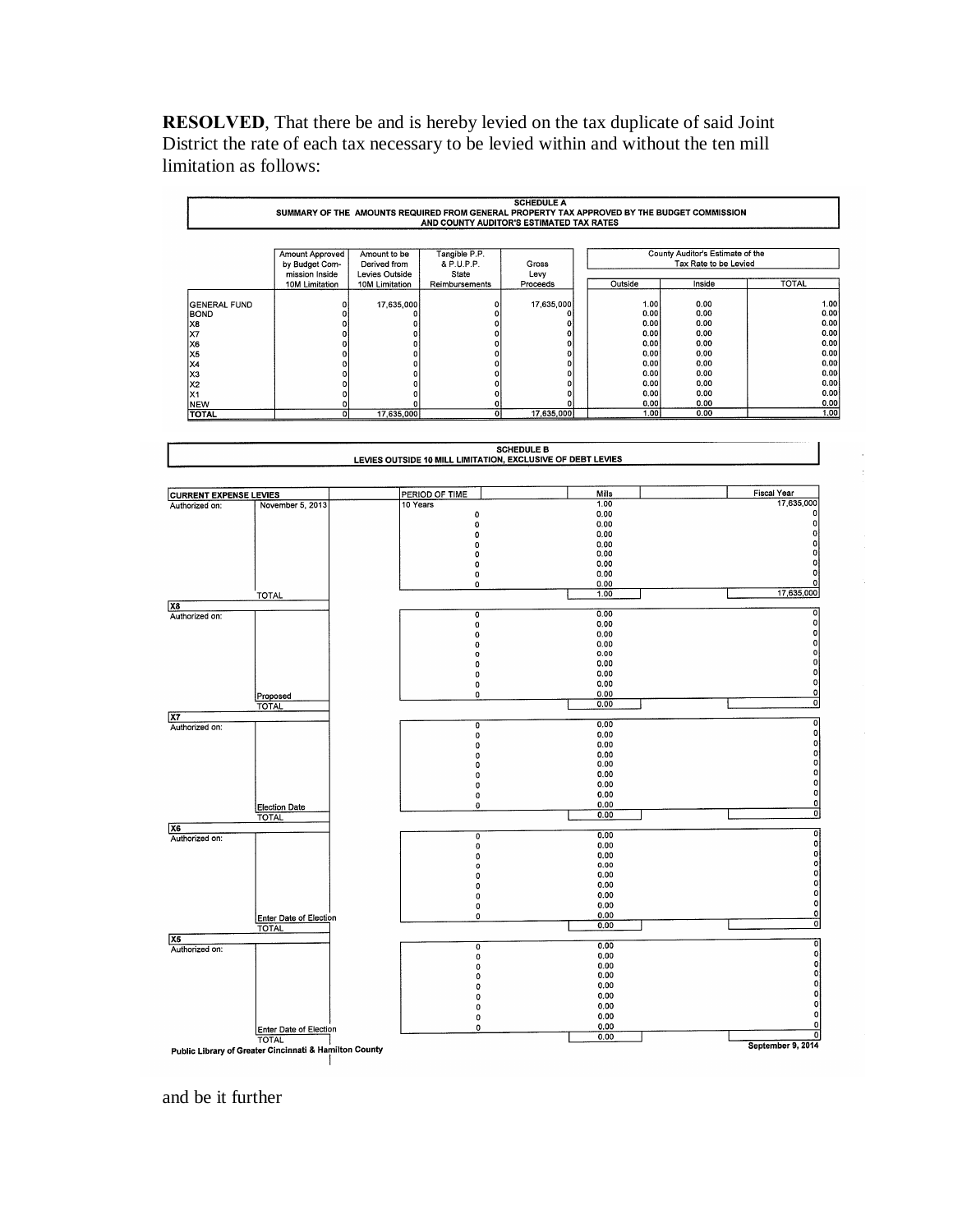**RESOLVED**, That there be and is hereby levied on the tax duplicate of said Joint District the rate of each tax necessary to be levied within and without the ten mill limitation as follows:

|                                    |                                                     | SUMMARY OF THE AMOUNTS REQUIRED FROM GENERAL PROPERTY TAX APPROVED BY THE BUDGET COMMISSION |                                      | AND COUNTY AUDITOR'S ESTIMATED TAX RATES                    |               |                                                           |                                                        |
|------------------------------------|-----------------------------------------------------|---------------------------------------------------------------------------------------------|--------------------------------------|-------------------------------------------------------------|---------------|-----------------------------------------------------------|--------------------------------------------------------|
|                                    | Amount Approved<br>by Budget Com-<br>mission Inside | Amount to be<br>Derived from<br>Levies Outside                                              | Tangible P.P.<br>& P.U.P.P.<br>State | Gross<br>Levy                                               |               | County Auditor's Estimate of the<br>Tax Rate to be Levied |                                                        |
|                                    | 10M Limitation                                      | 10M Limitation                                                                              | Reimbursements                       | Proceeds                                                    | Outside       | Inside                                                    | <b>TOTAL</b>                                           |
|                                    |                                                     |                                                                                             |                                      | 17,635,000                                                  | 1.00          | 0.00                                                      |                                                        |
| <b>GENERAL FUND</b><br><b>BOND</b> |                                                     | 17,635,000<br>0<br>0<br>0                                                                   | 0<br>0                               | 0                                                           | 0.00          | 0.00                                                      |                                                        |
| X8                                 |                                                     | 0<br>0                                                                                      | 0                                    | 0                                                           | 0.00          | 0.00                                                      |                                                        |
| X7                                 |                                                     | 0<br>0                                                                                      | 0                                    | 0                                                           | 0.00          | 0.00                                                      |                                                        |
| X6                                 |                                                     | 0<br>0                                                                                      | 0                                    | 0                                                           | 0.00          | 0.00                                                      |                                                        |
| X5                                 |                                                     | 0<br>0                                                                                      | 0                                    | 0                                                           | 0.00          | 0.00                                                      |                                                        |
| X4                                 |                                                     | 0<br>0<br>0                                                                                 | 0<br>0                               | 0<br>0                                                      | 0.00<br>0.00  | 0.00<br>0.00                                              |                                                        |
| X3<br>X <sub>2</sub>               |                                                     | 0<br>0<br>0                                                                                 | 0                                    | 0                                                           | 0.00          | 0.00                                                      |                                                        |
| X1                                 |                                                     | 0<br>0                                                                                      | 0                                    | 0                                                           | 0.00          | 0.00                                                      |                                                        |
| <b>NEW</b>                         |                                                     | 0<br>0                                                                                      | 0                                    | 0                                                           | 0.00          | 0.00                                                      |                                                        |
| <b>TOTAL</b>                       |                                                     | $\mathbf{o}$<br>17,635,000                                                                  | 이                                    | 17,635,000                                                  | 1.00          | 0.00                                                      |                                                        |
|                                    |                                                     |                                                                                             |                                      | <b>SCHEDULE B</b>                                           |               |                                                           |                                                        |
|                                    |                                                     |                                                                                             |                                      | LEVIES OUTSIDE 10 MILL LIMITATION, EXCLUSIVE OF DEBT LEVIES |               |                                                           |                                                        |
| <b>CURRENT EXPENSE LEVIES</b>      |                                                     |                                                                                             | PERIOD OF TIME                       |                                                             | Mills<br>1.00 |                                                           | Fiscal Year<br>17,635,000                              |
| Authorized on:                     | November 5, 2013                                    | 10 Years                                                                                    | 0                                    |                                                             | 0.00          |                                                           | $\Omega$                                               |
|                                    |                                                     |                                                                                             | $\mathbf 0$                          |                                                             | 0.00          |                                                           | o                                                      |
|                                    |                                                     |                                                                                             | 0                                    |                                                             | 0.00          |                                                           | 0                                                      |
|                                    |                                                     |                                                                                             | 0                                    |                                                             | 0.00          |                                                           | o                                                      |
|                                    |                                                     |                                                                                             | 0<br>0                               |                                                             | 0.00<br>0.00  |                                                           | n                                                      |
|                                    |                                                     |                                                                                             | 0                                    |                                                             | 0.00          |                                                           |                                                        |
|                                    |                                                     |                                                                                             | 0                                    |                                                             | 0.00          |                                                           | 0                                                      |
|                                    | TOTAL                                               |                                                                                             |                                      |                                                             | 1.00          |                                                           | 17,635,000                                             |
| Authorized on:                     |                                                     |                                                                                             | $\overline{\mathfrak{o}}$            |                                                             | 0.00          |                                                           | $\mathbf{0}$                                           |
|                                    |                                                     |                                                                                             | 0                                    |                                                             | 0.00          |                                                           | 0<br>0                                                 |
|                                    |                                                     |                                                                                             | $\pmb{0}$<br>0                       |                                                             | 0.00<br>0.00  |                                                           |                                                        |
|                                    |                                                     |                                                                                             | o                                    |                                                             | 0.00          |                                                           |                                                        |
|                                    |                                                     |                                                                                             | 0                                    |                                                             | 0.00          |                                                           |                                                        |
|                                    |                                                     |                                                                                             | 0                                    |                                                             | 0.00          |                                                           | 0                                                      |
|                                    |                                                     |                                                                                             | 0<br>$\mathbf 0$                     |                                                             | 0.00<br>0.00  |                                                           | 0<br>$\mathbf 0$                                       |
|                                    | Proposed<br><b>TOTAL</b>                            |                                                                                             |                                      |                                                             | 0.00          |                                                           | $\overline{\mathbf{0}}$                                |
|                                    |                                                     |                                                                                             |                                      |                                                             | 0.00          |                                                           | $\mathbf 0$                                            |
| Authorized on:                     |                                                     |                                                                                             | 0<br>$\pmb{\mathsf{o}}$              |                                                             | 0.00          |                                                           | $\bf{0}$                                               |
|                                    |                                                     |                                                                                             | 0                                    |                                                             | 0.00          |                                                           | $\mathbf{0}$                                           |
|                                    |                                                     |                                                                                             | 0                                    |                                                             | 0.00          |                                                           | 이                                                      |
|                                    |                                                     |                                                                                             | 0                                    |                                                             | 0.00          |                                                           | 0 <br>$\mathbf{0}$                                     |
|                                    |                                                     |                                                                                             | 0                                    |                                                             | 0.00<br>0.00  |                                                           | $\mathbf{0}$                                           |
|                                    |                                                     |                                                                                             | 0<br>0                               |                                                             | 0.00          |                                                           | $\overline{0}$                                         |
|                                    | Election Date                                       |                                                                                             | 0                                    |                                                             | 0.00          |                                                           | $\mathbf{0}$                                           |
|                                    | TOTAL                                               |                                                                                             |                                      |                                                             | 0.00          |                                                           | $\overline{\mathbf{0}}$                                |
| Authorized on:                     |                                                     |                                                                                             | $\overline{\mathfrak{o}}$            |                                                             | 0.00          |                                                           | o                                                      |
|                                    |                                                     |                                                                                             | 0                                    |                                                             | 0.00          |                                                           | $\mathbf{0}$                                           |
|                                    |                                                     |                                                                                             | 0                                    |                                                             | 0.00          |                                                           | o                                                      |
|                                    |                                                     |                                                                                             | 0                                    |                                                             | 0.00          |                                                           | $\circ$<br> 0                                          |
|                                    |                                                     |                                                                                             | 0<br>0                               |                                                             | 0.00<br>0.00  |                                                           | $\circ$                                                |
|                                    |                                                     |                                                                                             | o                                    |                                                             | 0.00          |                                                           | $\mathbf{0}$                                           |
|                                    |                                                     |                                                                                             | $\pmb{0}$                            |                                                             | 0.00          |                                                           | 0<br>$\pmb{\mathsf{o}}$                                |
|                                    | Enter Date of Election                              |                                                                                             | 0                                    |                                                             | 0.00          |                                                           |                                                        |
|                                    | <b>TOTAL</b>                                        |                                                                                             |                                      |                                                             | 0.00          |                                                           | 0                                                      |
|                                    |                                                     |                                                                                             | 0                                    |                                                             | 0.00          |                                                           | 이                                                      |
|                                    |                                                     |                                                                                             |                                      |                                                             | 0.00          |                                                           | $\mathbf{0}$                                           |
|                                    |                                                     |                                                                                             | $\pmb{0}$                            |                                                             |               |                                                           | 0                                                      |
|                                    |                                                     |                                                                                             | 0                                    |                                                             | 0.00          |                                                           |                                                        |
| Authorized on:                     |                                                     |                                                                                             | 0                                    |                                                             | 0.00          |                                                           |                                                        |
|                                    |                                                     |                                                                                             | 0                                    |                                                             | 0.00          |                                                           |                                                        |
|                                    |                                                     |                                                                                             | 0                                    |                                                             | 0.00          |                                                           |                                                        |
|                                    |                                                     |                                                                                             | 0<br>0                               |                                                             | 0.00<br>0.00  |                                                           |                                                        |
|                                    | Enter Date of Election                              |                                                                                             | 0                                    |                                                             | 0.00<br>0.00  |                                                           | 0 <br>$\mathbf{0}$<br> 0 <br> 0 <br>$\circ$<br>$\circ$ |

and be it further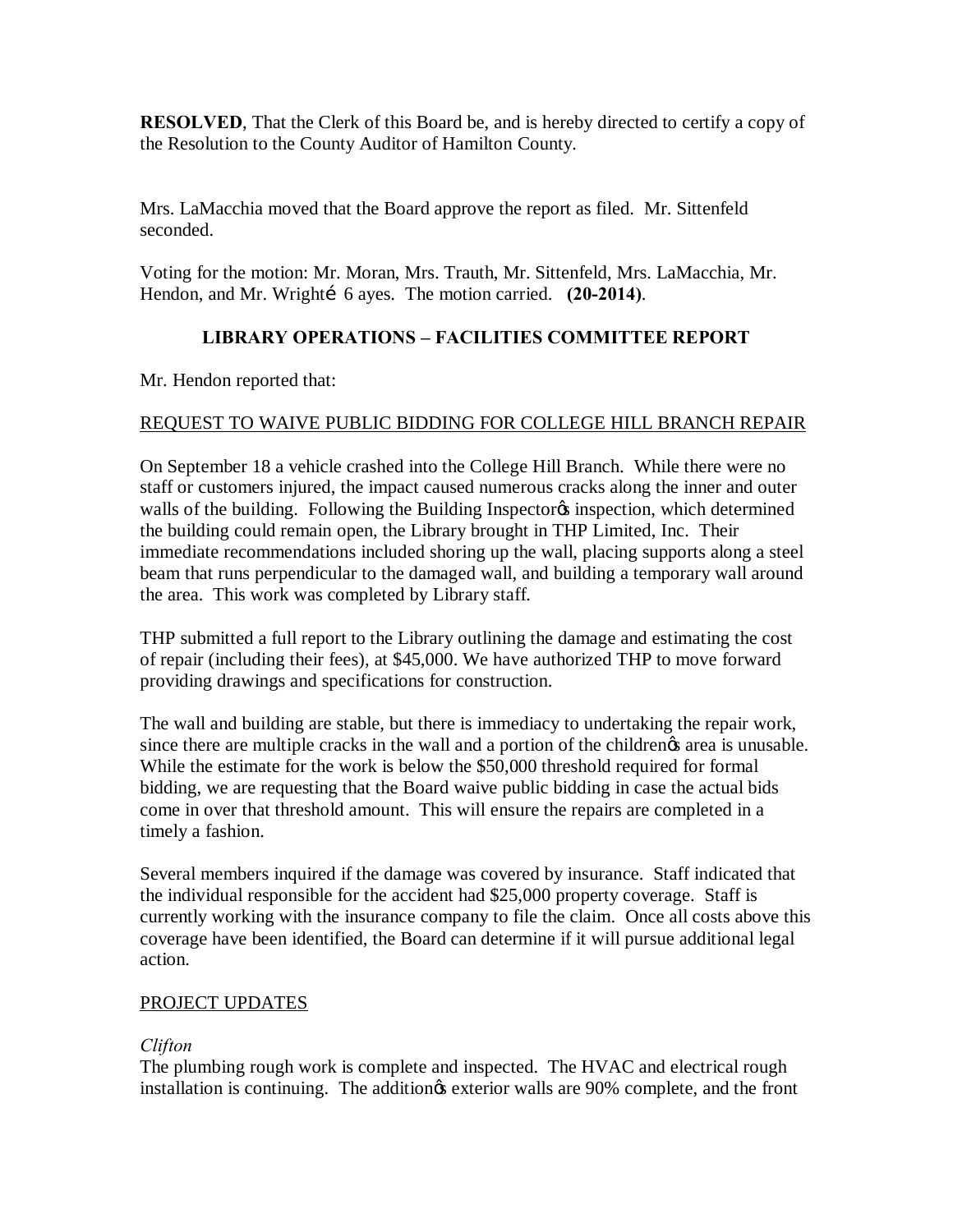**RESOLVED**, That the Clerk of this Board be, and is hereby directed to certify a copy of the Resolution to the County Auditor of Hamilton County.

Mrs. LaMacchia moved that the Board approve the report as filed. Mr. Sittenfeld seconded.

Voting for the motion: Mr. Moran, Mrs. Trauth, Mr. Sittenfeld, Mrs. LaMacchia, Mr. Hendon, and Mr. Wrighti 6 ayes. The motion carried. **(20-2014)**.

## **LIBRARY OPERATIONS – FACILITIES COMMITTEE REPORT**

Mr. Hendon reported that:

## REQUEST TO WAIVE PUBLIC BIDDING FOR COLLEGE HILL BRANCH REPAIR

On September 18 a vehicle crashed into the College Hill Branch. While there were no staff or customers injured, the impact caused numerous cracks along the inner and outer walls of the building. Following the Building Inspector inspection, which determined the building could remain open, the Library brought in THP Limited, Inc. Their immediate recommendations included shoring up the wall, placing supports along a steel beam that runs perpendicular to the damaged wall, and building a temporary wall around the area. This work was completed by Library staff.

THP submitted a full report to the Library outlining the damage and estimating the cost of repair (including their fees), at \$45,000. We have authorized THP to move forward providing drawings and specifications for construction.

The wall and building are stable, but there is immediacy to undertaking the repair work, since there are multiple cracks in the wall and a portion of the childrengs area is unusable. While the estimate for the work is below the \$50,000 threshold required for formal bidding, we are requesting that the Board waive public bidding in case the actual bids come in over that threshold amount. This will ensure the repairs are completed in a timely a fashion.

Several members inquired if the damage was covered by insurance. Staff indicated that the individual responsible for the accident had \$25,000 property coverage. Staff is currently working with the insurance company to file the claim. Once all costs above this coverage have been identified, the Board can determine if it will pursue additional legal action.

## PROJECT UPDATES

## *Clifton*

The plumbing rough work is complete and inspected. The HVAC and electrical rough installation is continuing. The addition  $\alpha$  exterior walls are 90% complete, and the front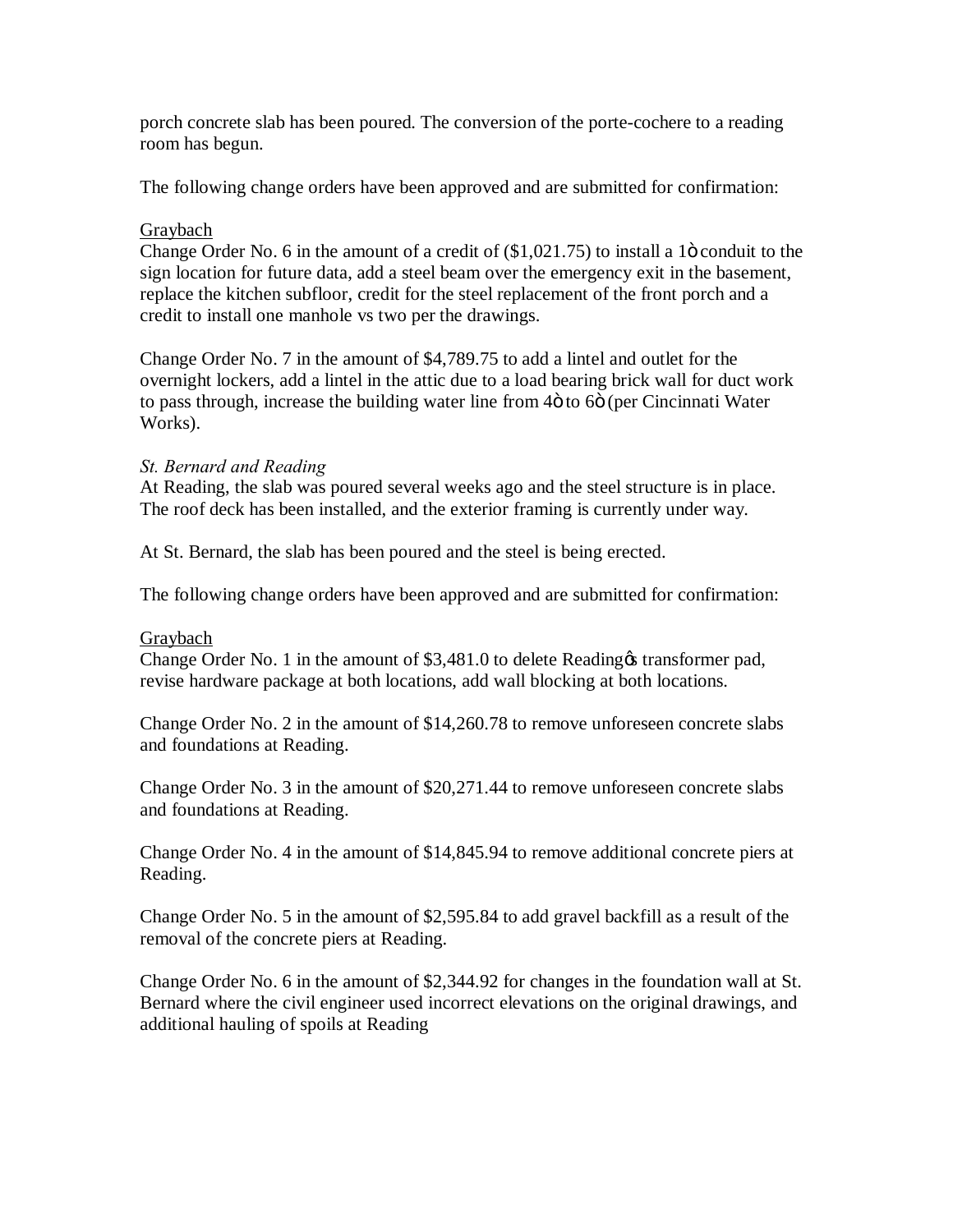porch concrete slab has been poured. The conversion of the porte-cochere to a reading room has begun.

The following change orders have been approved and are submitted for confirmation:

## **Graybach**

Change Order No. 6 in the amount of a credit of  $(\text{\$1,021.75})$  to install a 1 $\ddot{o}$  conduit to the sign location for future data, add a steel beam over the emergency exit in the basement, replace the kitchen subfloor, credit for the steel replacement of the front porch and a credit to install one manhole vs two per the drawings.

Change Order No. 7 in the amount of \$4,789.75 to add a lintel and outlet for the overnight lockers, add a lintel in the attic due to a load bearing brick wall for duct work to pass through, increase the building water line from 4 $\ddot{o}$  to 6 $\ddot{o}$  (per Cincinnati Water Works).

### *St. Bernard and Reading*

At Reading, the slab was poured several weeks ago and the steel structure is in place. The roof deck has been installed, and the exterior framing is currently under way.

At St. Bernard, the slab has been poured and the steel is being erected.

The following change orders have been approved and are submitted for confirmation:

#### Graybach

Change Order No. 1 in the amount of \$3,481.0 to delete Reading transformer pad, revise hardware package at both locations, add wall blocking at both locations.

Change Order No. 2 in the amount of \$14,260.78 to remove unforeseen concrete slabs and foundations at Reading.

Change Order No. 3 in the amount of \$20,271.44 to remove unforeseen concrete slabs and foundations at Reading.

Change Order No. 4 in the amount of \$14,845.94 to remove additional concrete piers at Reading.

Change Order No. 5 in the amount of \$2,595.84 to add gravel backfill as a result of the removal of the concrete piers at Reading.

Change Order No. 6 in the amount of \$2,344.92 for changes in the foundation wall at St. Bernard where the civil engineer used incorrect elevations on the original drawings, and additional hauling of spoils at Reading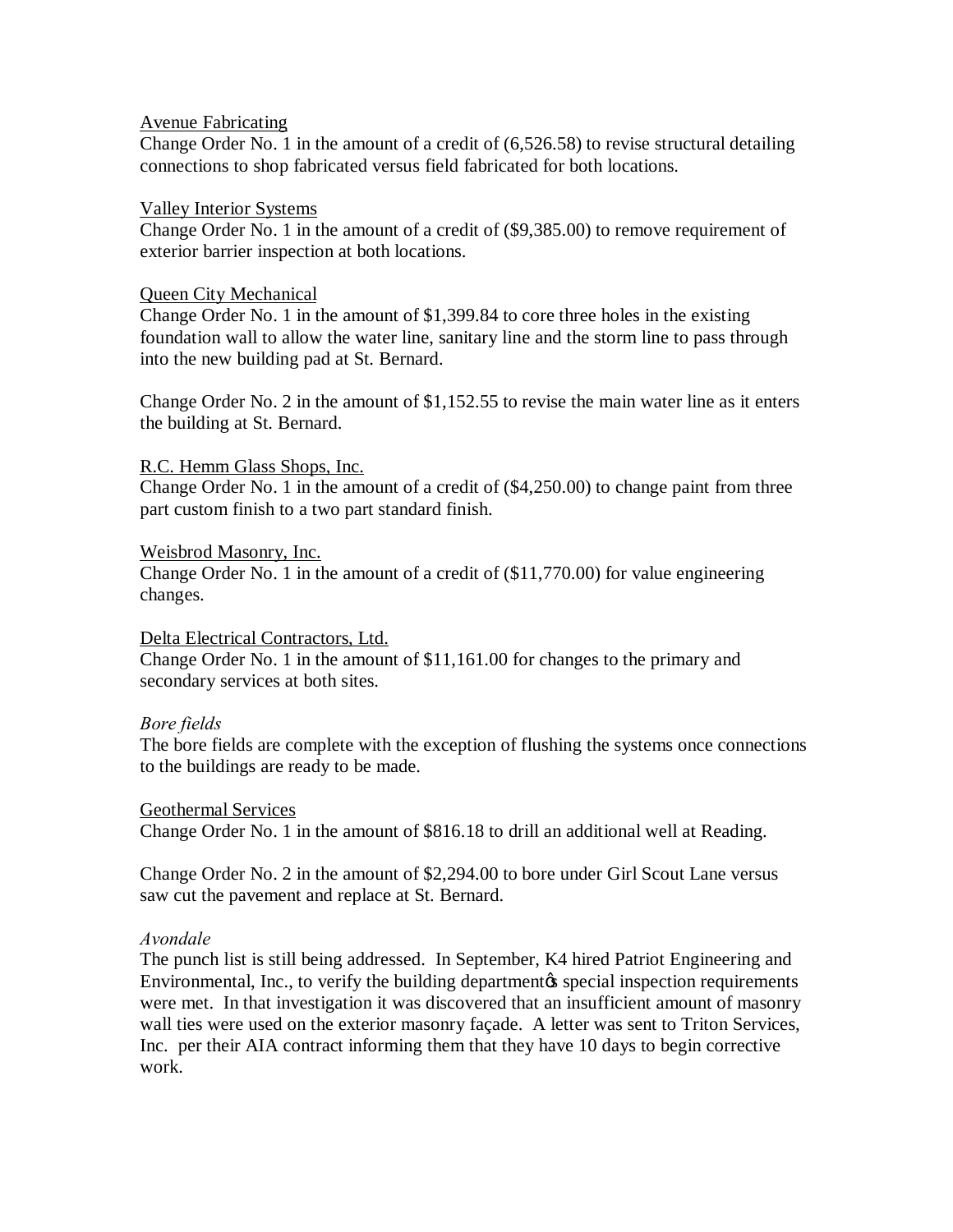#### Avenue Fabricating

Change Order No. 1 in the amount of a credit of (6,526.58) to revise structural detailing connections to shop fabricated versus field fabricated for both locations.

#### Valley Interior Systems

Change Order No. 1 in the amount of a credit of (\$9,385.00) to remove requirement of exterior barrier inspection at both locations.

#### Queen City Mechanical

Change Order No. 1 in the amount of \$1,399.84 to core three holes in the existing foundation wall to allow the water line, sanitary line and the storm line to pass through into the new building pad at St. Bernard.

Change Order No. 2 in the amount of \$1,152.55 to revise the main water line as it enters the building at St. Bernard.

#### R.C. Hemm Glass Shops, Inc.

Change Order No. 1 in the amount of a credit of (\$4,250.00) to change paint from three part custom finish to a two part standard finish.

#### Weisbrod Masonry, Inc.

Change Order No. 1 in the amount of a credit of (\$11,770.00) for value engineering changes.

#### Delta Electrical Contractors, Ltd.

Change Order No. 1 in the amount of \$11,161.00 for changes to the primary and secondary services at both sites.

#### *Bore fields*

The bore fields are complete with the exception of flushing the systems once connections to the buildings are ready to be made.

#### Geothermal Services

Change Order No. 1 in the amount of \$816.18 to drill an additional well at Reading.

Change Order No. 2 in the amount of \$2,294.00 to bore under Girl Scout Lane versus saw cut the pavement and replace at St. Bernard.

#### *Avondale*

The punch list is still being addressed. In September, K4 hired Patriot Engineering and Environmental, Inc., to verify the building department to special inspection requirements were met. In that investigation it was discovered that an insufficient amount of masonry wall ties were used on the exterior masonry façade. A letter was sent to Triton Services, Inc. per their AIA contract informing them that they have 10 days to begin corrective work.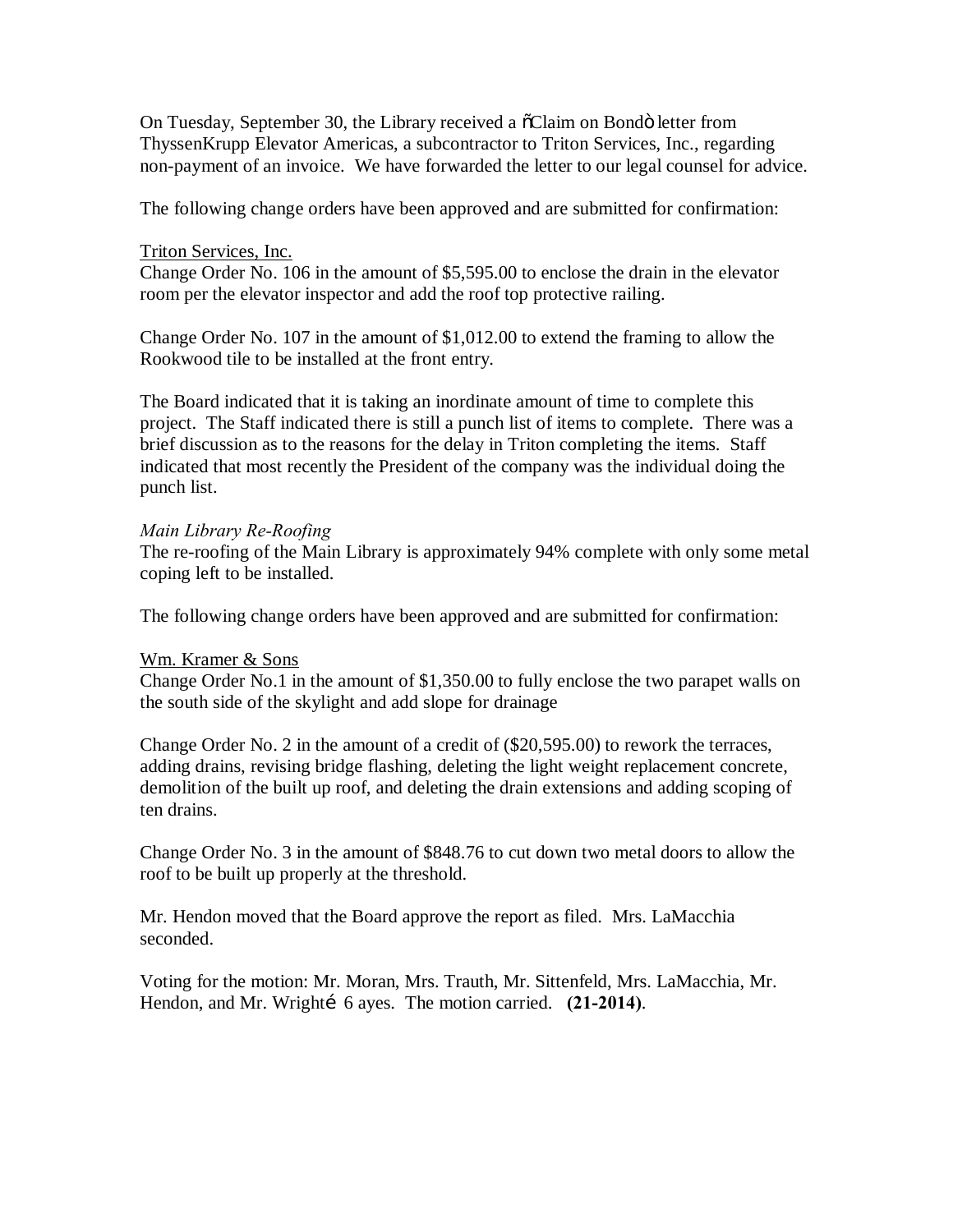On Tuesday, September 30, the Library received a  $\tilde{\text{o}}$ Claim on Bondö letter from ThyssenKrupp Elevator Americas, a subcontractor to Triton Services, Inc., regarding non-payment of an invoice. We have forwarded the letter to our legal counsel for advice.

The following change orders have been approved and are submitted for confirmation:

#### Triton Services, Inc.

Change Order No. 106 in the amount of \$5,595.00 to enclose the drain in the elevator room per the elevator inspector and add the roof top protective railing.

Change Order No. 107 in the amount of \$1,012.00 to extend the framing to allow the Rookwood tile to be installed at the front entry.

The Board indicated that it is taking an inordinate amount of time to complete this project. The Staff indicated there is still a punch list of items to complete. There was a brief discussion as to the reasons for the delay in Triton completing the items. Staff indicated that most recently the President of the company was the individual doing the punch list.

#### *Main Library Re-Roofing*

The re-roofing of the Main Library is approximately 94% complete with only some metal coping left to be installed.

The following change orders have been approved and are submitted for confirmation:

#### Wm. Kramer & Sons

Change Order No.1 in the amount of \$1,350.00 to fully enclose the two parapet walls on the south side of the skylight and add slope for drainage

Change Order No. 2 in the amount of a credit of (\$20,595.00) to rework the terraces, adding drains, revising bridge flashing, deleting the light weight replacement concrete, demolition of the built up roof, and deleting the drain extensions and adding scoping of ten drains.

Change Order No. 3 in the amount of \$848.76 to cut down two metal doors to allow the roof to be built up properly at the threshold.

Mr. Hendon moved that the Board approve the report as filed. Mrs. LaMacchia seconded.

Voting for the motion: Mr. Moran, Mrs. Trauth, Mr. Sittenfeld, Mrs. LaMacchia, Mr. Hendon, and Mr. Wrighti 6 ayes. The motion carried. **(21-2014)**.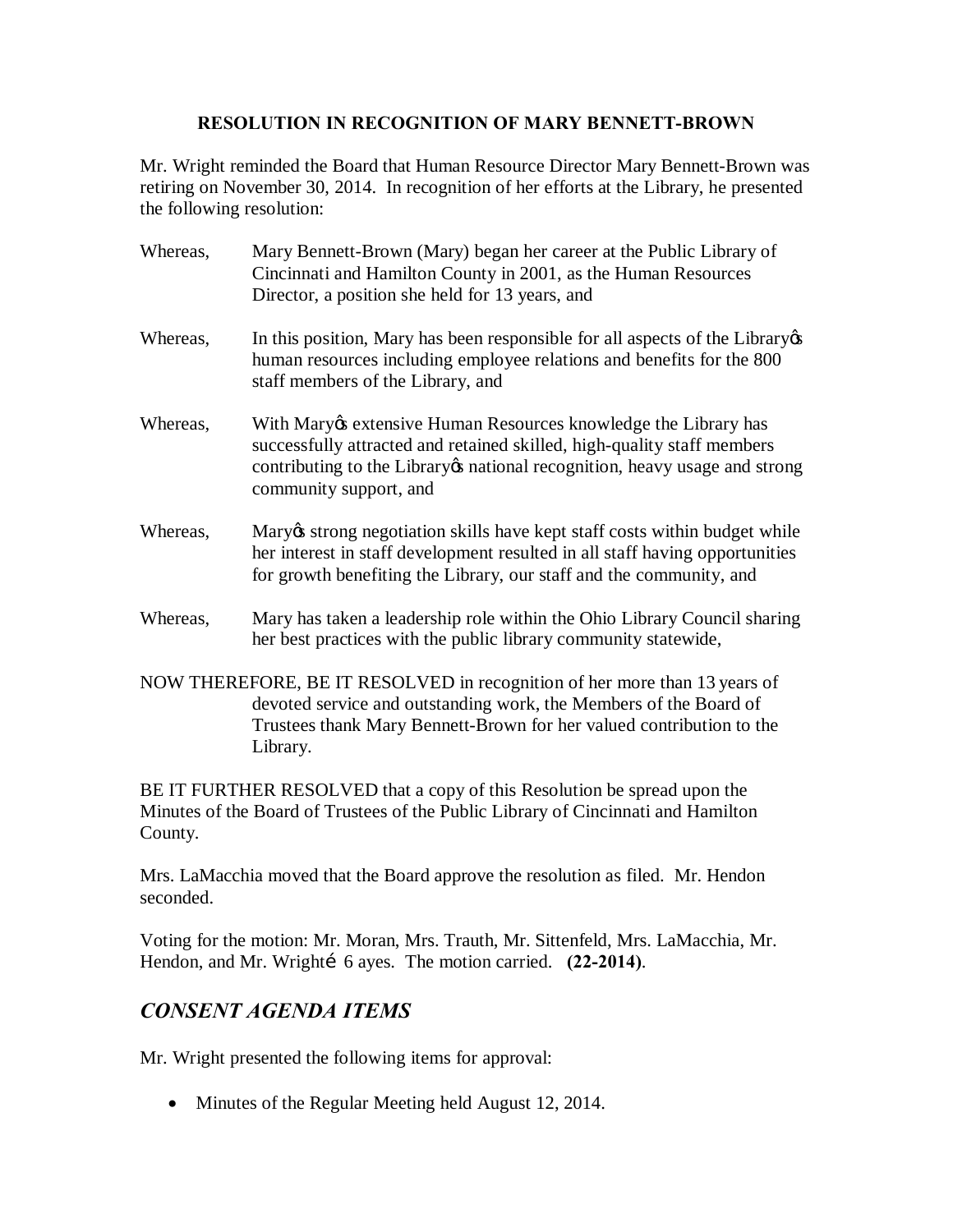### **RESOLUTION IN RECOGNITION OF MARY BENNETT-BROWN**

Mr. Wright reminded the Board that Human Resource Director Mary Bennett-Brown was retiring on November 30, 2014. In recognition of her efforts at the Library, he presented the following resolution:

- Whereas, Mary Bennett-Brown (Mary) began her career at the Public Library of Cincinnati and Hamilton County in 2001, as the Human Resources Director, a position she held for 13 years, and
- Whereas, In this position, Mary has been responsible for all aspects of the Library  $\alpha$ human resources including employee relations and benefits for the 800 staff members of the Library, and
- Whereas, With Mary os extensive Human Resources knowledge the Library has successfully attracted and retained skilled, high-quality staff members contributing to the Library os national recognition, heavy usage and strong community support, and
- Whereas, Mary is strong negotiation skills have kept staff costs within budget while her interest in staff development resulted in all staff having opportunities for growth benefiting the Library, our staff and the community, and
- Whereas, Mary has taken a leadership role within the Ohio Library Council sharing her best practices with the public library community statewide,
- NOW THEREFORE, BE IT RESOLVED in recognition of her more than 13 years of devoted service and outstanding work, the Members of the Board of Trustees thank Mary Bennett-Brown for her valued contribution to the Library.

BE IT FURTHER RESOLVED that a copy of this Resolution be spread upon the Minutes of the Board of Trustees of the Public Library of Cincinnati and Hamilton County.

Mrs. LaMacchia moved that the Board approve the resolution as filed. Mr. Hendon seconded.

Voting for the motion: Mr. Moran, Mrs. Trauth, Mr. Sittenfeld, Mrs. LaMacchia, Mr. Hendon, and Mr. Wrightí 6 ayes. The motion carried. **(22-2014)**.

## *CONSENT AGENDA ITEMS*

Mr. Wright presented the following items for approval:

• Minutes of the Regular Meeting held August 12, 2014.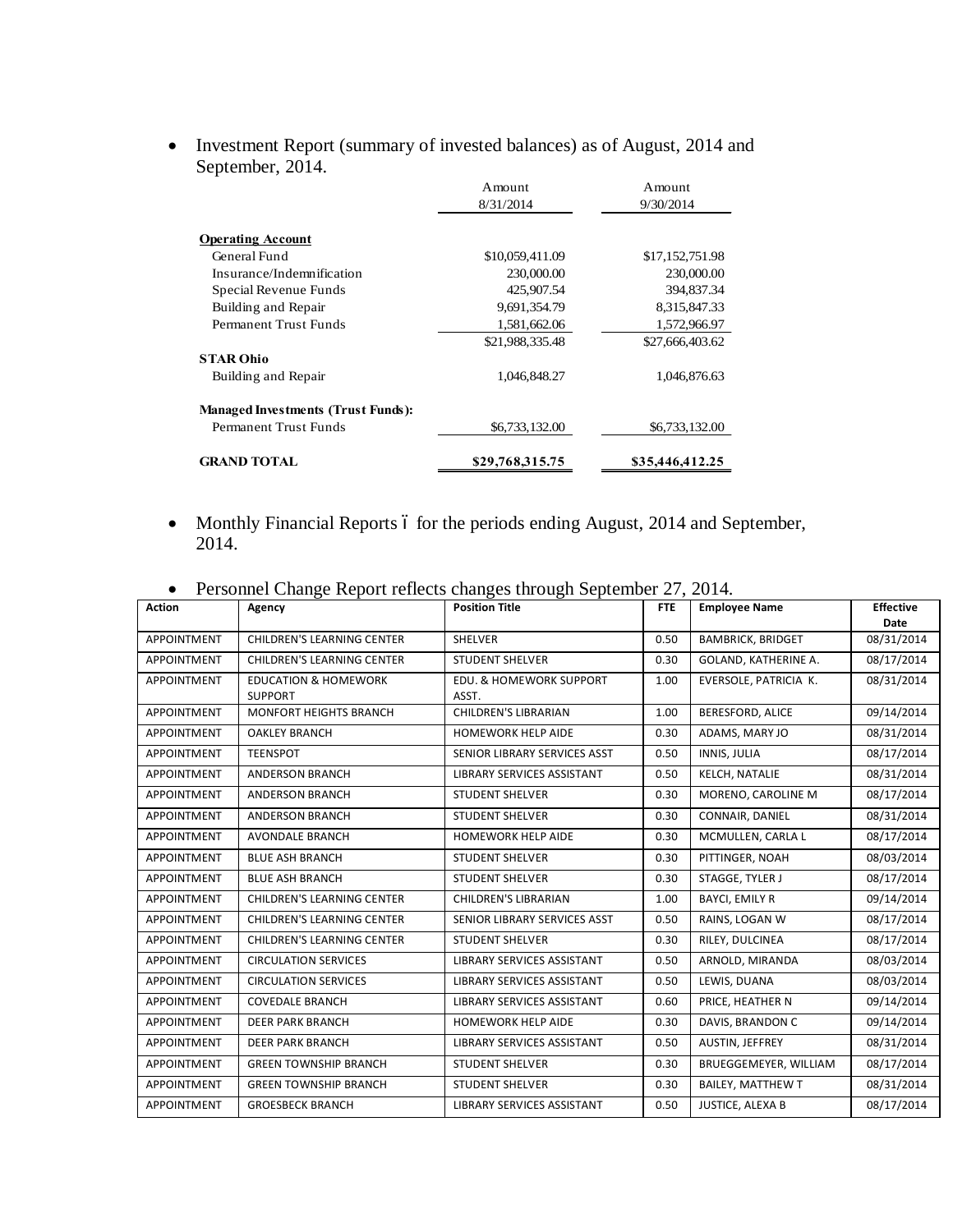|                                           | Amount<br>8/31/2014 | Amount<br>9/30/2014 |
|-------------------------------------------|---------------------|---------------------|
| <b>Operating Account</b>                  |                     |                     |
| General Fund                              |                     |                     |
|                                           | \$10,059,411.09     | \$17,152,751.98     |
| Insurance/Indemnification                 | 230,000.00          | 230,000.00          |
| Special Revenue Funds                     | 425,907.54          | 394,837.34          |
| Building and Repair                       | 9,691,354.79        | 8,315,847.33        |
| Permanent Trust Funds                     | 1,581,662.06        | 1,572,966.97        |
|                                           | \$21,988,335.48     | \$27,666,403.62     |
| <b>STAR Ohio</b>                          |                     |                     |
| Building and Repair                       | 1,046,848.27        | 1,046,876.63        |
| <b>Managed Investments (Trust Funds):</b> |                     |                     |
| Permanent Trust Funds                     | \$6,733,132.00      | \$6,733,132.00      |
| <b>GRAND TOTAL</b>                        | \$29,768,315.75     | \$35,446,412.25     |

· Investment Report (summary of invested balances) as of August, 2014 and September, 2014.

• Monthly Financial Reports 6 for the periods ending August, 2014 and September, 2014.

|  |  |  |  |  | Personnel Change Report reflects changes through September 27, 2014. |
|--|--|--|--|--|----------------------------------------------------------------------|
|--|--|--|--|--|----------------------------------------------------------------------|

| <b>Action</b>      | Agency                            | <b>Position Title</b>              | <b>FTE</b> | <b>Employee Name</b>     | <b>Effective</b> |
|--------------------|-----------------------------------|------------------------------------|------------|--------------------------|------------------|
|                    |                                   |                                    |            |                          | Date             |
| APPOINTMENT        | <b>CHILDREN'S LEARNING CENTER</b> | SHELVER                            | 0.50       | <b>BAMBRICK, BRIDGET</b> | 08/31/2014       |
| APPOINTMENT        | CHILDREN'S LEARNING CENTER        | <b>STUDENT SHELVER</b>             | 0.30       | GOLAND, KATHERINE A.     | 08/17/2014       |
| APPOINTMENT        | <b>EDUCATION &amp; HOMEWORK</b>   | <b>EDU. &amp; HOMEWORK SUPPORT</b> | 1.00       | EVERSOLE, PATRICIA K.    | 08/31/2014       |
|                    | <b>SUPPORT</b>                    | ASST.                              |            |                          |                  |
| APPOINTMENT        | <b>MONFORT HEIGHTS BRANCH</b>     | <b>CHILDREN'S LIBRARIAN</b>        | 1.00       | BERESFORD, ALICE         | 09/14/2014       |
| APPOINTMENT        | <b>OAKLEY BRANCH</b>              | <b>HOMEWORK HELP AIDE</b>          | 0.30       | ADAMS, MARY JO           | 08/31/2014       |
| APPOINTMENT        | <b>TEENSPOT</b>                   | SENIOR LIBRARY SERVICES ASST       | 0.50       | INNIS, JULIA             | 08/17/2014       |
| <b>APPOINTMENT</b> | ANDERSON BRANCH                   | LIBRARY SERVICES ASSISTANT         | 0.50       | KELCH, NATALIE           | 08/31/2014       |
| APPOINTMENT        | ANDERSON BRANCH                   | <b>STUDENT SHELVER</b>             | 0.30       | MORENO, CAROLINE M       | 08/17/2014       |
| APPOINTMENT        | ANDERSON BRANCH                   | <b>STUDENT SHELVER</b>             | 0.30       | CONNAIR, DANIEL          | 08/31/2014       |
| <b>APPOINTMENT</b> | <b>AVONDALE BRANCH</b>            | <b>HOMEWORK HELP AIDE</b>          | 0.30       | MCMULLEN, CARLA L        | 08/17/2014       |
| APPOINTMENT        | <b>BLUE ASH BRANCH</b>            | <b>STUDENT SHELVER</b>             | 0.30       | PITTINGER, NOAH          | 08/03/2014       |
| <b>APPOINTMENT</b> | <b>BLUE ASH BRANCH</b>            | <b>STUDENT SHELVER</b>             | 0.30       | STAGGE, TYLER J          | 08/17/2014       |
| <b>APPOINTMENT</b> | <b>CHILDREN'S LEARNING CENTER</b> | <b>CHILDREN'S LIBRARIAN</b>        | 1.00       | <b>BAYCI, EMILY R</b>    | 09/14/2014       |
| APPOINTMENT        | <b>CHILDREN'S LEARNING CENTER</b> | SENIOR LIBRARY SERVICES ASST       | 0.50       | RAINS, LOGAN W           | 08/17/2014       |
| <b>APPOINTMENT</b> | <b>CHILDREN'S LEARNING CENTER</b> | <b>STUDENT SHELVER</b>             | 0.30       | RILEY, DULCINEA          | 08/17/2014       |
| APPOINTMENT        | <b>CIRCULATION SERVICES</b>       | LIBRARY SERVICES ASSISTANT         | 0.50       | ARNOLD, MIRANDA          | 08/03/2014       |
| APPOINTMENT        | <b>CIRCULATION SERVICES</b>       | LIBRARY SERVICES ASSISTANT         | 0.50       | LEWIS, DUANA             | 08/03/2014       |
| APPOINTMENT        | <b>COVEDALE BRANCH</b>            | LIBRARY SERVICES ASSISTANT         | 0.60       | PRICE, HEATHER N         | 09/14/2014       |
| <b>APPOINTMENT</b> | <b>DEER PARK BRANCH</b>           | <b>HOMEWORK HELP AIDE</b>          | 0.30       | DAVIS, BRANDON C         | 09/14/2014       |
| <b>APPOINTMENT</b> | <b>DEER PARK BRANCH</b>           | LIBRARY SERVICES ASSISTANT         | 0.50       | AUSTIN, JEFFREY          | 08/31/2014       |
| <b>APPOINTMENT</b> | <b>GREEN TOWNSHIP BRANCH</b>      | <b>STUDENT SHELVER</b>             | 0.30       | BRUEGGEMEYER, WILLIAM    | 08/17/2014       |
| APPOINTMENT        | <b>GREEN TOWNSHIP BRANCH</b>      | <b>STUDENT SHELVER</b>             | 0.30       | BAILEY, MATTHEW T        | 08/31/2014       |
| APPOINTMENT        | <b>GROESBECK BRANCH</b>           | LIBRARY SERVICES ASSISTANT         | 0.50       | JUSTICE, ALEXA B         | 08/17/2014       |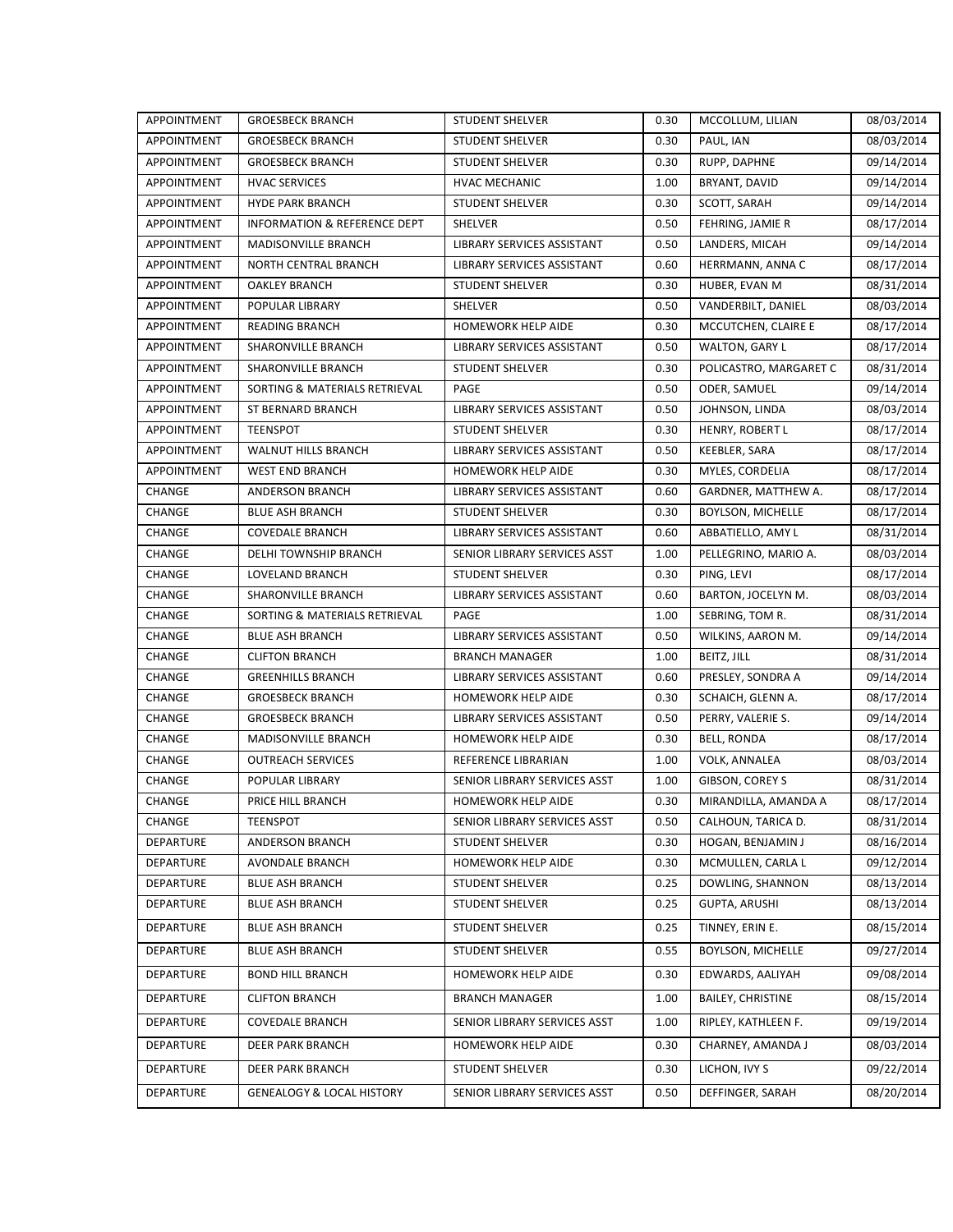| APPOINTMENT      | <b>GROESBECK BRANCH</b>              | <b>STUDENT SHELVER</b>       | 0.30 | MCCOLLUM, LILIAN         | 08/03/2014 |
|------------------|--------------------------------------|------------------------------|------|--------------------------|------------|
| APPOINTMENT      | <b>GROESBECK BRANCH</b>              | <b>STUDENT SHELVER</b>       | 0.30 | PAUL, IAN                | 08/03/2014 |
| APPOINTMENT      | <b>GROESBECK BRANCH</b>              | <b>STUDENT SHELVER</b>       | 0.30 | RUPP, DAPHNE             | 09/14/2014 |
| APPOINTMENT      | <b>HVAC SERVICES</b>                 | <b>HVAC MECHANIC</b>         | 1.00 | BRYANT, DAVID            | 09/14/2014 |
| APPOINTMENT      | <b>HYDE PARK BRANCH</b>              | STUDENT SHELVER              | 0.30 | SCOTT, SARAH             | 09/14/2014 |
| APPOINTMENT      | INFORMATION & REFERENCE DEPT         | SHELVER                      | 0.50 | FEHRING, JAMIE R         | 08/17/2014 |
| APPOINTMENT      | MADISONVILLE BRANCH                  | LIBRARY SERVICES ASSISTANT   | 0.50 | LANDERS, MICAH           | 09/14/2014 |
| APPOINTMENT      | NORTH CENTRAL BRANCH                 | LIBRARY SERVICES ASSISTANT   | 0.60 | HERRMANN, ANNA C         | 08/17/2014 |
| APPOINTMENT      | <b>OAKLEY BRANCH</b>                 | <b>STUDENT SHELVER</b>       | 0.30 | HUBER, EVAN M            | 08/31/2014 |
| APPOINTMENT      | POPULAR LIBRARY                      | <b>SHELVER</b>               | 0.50 | VANDERBILT, DANIEL       | 08/03/2014 |
| APPOINTMENT      | <b>READING BRANCH</b>                | <b>HOMEWORK HELP AIDE</b>    | 0.30 | MCCUTCHEN, CLAIRE E      | 08/17/2014 |
| APPOINTMENT      | SHARONVILLE BRANCH                   | LIBRARY SERVICES ASSISTANT   | 0.50 | WALTON, GARY L           | 08/17/2014 |
| APPOINTMENT      | SHARONVILLE BRANCH                   | <b>STUDENT SHELVER</b>       | 0.30 | POLICASTRO, MARGARET C   | 08/31/2014 |
| APPOINTMENT      | SORTING & MATERIALS RETRIEVAL        | PAGE                         | 0.50 | ODER, SAMUEL             | 09/14/2014 |
| APPOINTMENT      | ST BERNARD BRANCH                    | LIBRARY SERVICES ASSISTANT   | 0.50 | JOHNSON, LINDA           | 08/03/2014 |
| APPOINTMENT      | <b>TEENSPOT</b>                      | <b>STUDENT SHELVER</b>       | 0.30 | HENRY, ROBERT L          | 08/17/2014 |
| APPOINTMENT      | <b>WALNUT HILLS BRANCH</b>           | LIBRARY SERVICES ASSISTANT   | 0.50 | KEEBLER, SARA            | 08/17/2014 |
| APPOINTMENT      | <b>WEST END BRANCH</b>               | HOMEWORK HELP AIDE           | 0.30 | MYLES, CORDELIA          | 08/17/2014 |
| CHANGE           | ANDERSON BRANCH                      | LIBRARY SERVICES ASSISTANT   | 0.60 | GARDNER, MATTHEW A.      | 08/17/2014 |
| CHANGE           | <b>BLUE ASH BRANCH</b>               | <b>STUDENT SHELVER</b>       | 0.30 | <b>BOYLSON, MICHELLE</b> | 08/17/2014 |
| CHANGE           | <b>COVEDALE BRANCH</b>               | LIBRARY SERVICES ASSISTANT   | 0.60 | ABBATIELLO, AMY L        | 08/31/2014 |
| CHANGE           | DELHI TOWNSHIP BRANCH                | SENIOR LIBRARY SERVICES ASST | 1.00 | PELLEGRINO, MARIO A.     | 08/03/2014 |
| CHANGE           | LOVELAND BRANCH                      | <b>STUDENT SHELVER</b>       | 0.30 | PING, LEVI               | 08/17/2014 |
| CHANGE           | SHARONVILLE BRANCH                   | LIBRARY SERVICES ASSISTANT   | 0.60 | BARTON, JOCELYN M.       | 08/03/2014 |
| CHANGE           | SORTING & MATERIALS RETRIEVAL        | PAGE                         | 1.00 | SEBRING, TOM R.          | 08/31/2014 |
| CHANGE           | <b>BLUE ASH BRANCH</b>               | LIBRARY SERVICES ASSISTANT   | 0.50 | WILKINS, AARON M.        | 09/14/2014 |
| CHANGE           | <b>CLIFTON BRANCH</b>                | <b>BRANCH MANAGER</b>        | 1.00 | BEITZ, JILL              | 08/31/2014 |
| CHANGE           | <b>GREENHILLS BRANCH</b>             | LIBRARY SERVICES ASSISTANT   | 0.60 | PRESLEY, SONDRA A        | 09/14/2014 |
| CHANGE           | <b>GROESBECK BRANCH</b>              | HOMEWORK HELP AIDE           | 0.30 | SCHAICH, GLENN A.        | 08/17/2014 |
| CHANGE           | <b>GROESBECK BRANCH</b>              | LIBRARY SERVICES ASSISTANT   | 0.50 | PERRY, VALERIE S.        | 09/14/2014 |
| CHANGE           | MADISONVILLE BRANCH                  | <b>HOMEWORK HELP AIDE</b>    | 0.30 | <b>BELL, RONDA</b>       | 08/17/2014 |
| CHANGE           | <b>OUTREACH SERVICES</b>             | REFERENCE LIBRARIAN          | 1.00 | VOLK, ANNALEA            | 08/03/2014 |
| CHANGE           | POPULAR LIBRARY                      | SENIOR LIBRARY SERVICES ASST | 1.00 | GIBSON, COREY S          | 08/31/2014 |
| CHANGE           | PRICE HILL BRANCH                    | <b>HOMEWORK HELP AIDE</b>    | 0.30 | MIRANDILLA, AMANDA A     | 08/17/2014 |
| CHANGE           | <b>TEENSPOT</b>                      | SENIOR LIBRARY SERVICES ASST | 0.50 | CALHOUN, TARICA D.       | 08/31/2014 |
| DEPARTURE        | ANDERSON BRANCH                      | <b>STUDENT SHELVER</b>       | 0.30 | HOGAN, BENJAMIN J        | 08/16/2014 |
| DEPARTURE        | AVONDALE BRANCH                      | HOMEWORK HELP AIDE           | 0.30 | MCMULLEN, CARLA L        | 09/12/2014 |
| DEPARTURE        | <b>BLUE ASH BRANCH</b>               | STUDENT SHELVER              | 0.25 | DOWLING, SHANNON         | 08/13/2014 |
| DEPARTURE        | <b>BLUE ASH BRANCH</b>               | STUDENT SHELVER              | 0.25 | <b>GUPTA, ARUSHI</b>     | 08/13/2014 |
| DEPARTURE        | <b>BLUE ASH BRANCH</b>               | STUDENT SHELVER              | 0.25 | TINNEY, ERIN E.          | 08/15/2014 |
| <b>DEPARTURE</b> | <b>BLUE ASH BRANCH</b>               | STUDENT SHELVER              | 0.55 | <b>BOYLSON, MICHELLE</b> | 09/27/2014 |
| DEPARTURE        | <b>BOND HILL BRANCH</b>              | <b>HOMEWORK HELP AIDE</b>    | 0.30 | EDWARDS, AALIYAH         | 09/08/2014 |
| <b>DEPARTURE</b> | <b>CLIFTON BRANCH</b>                | <b>BRANCH MANAGER</b>        | 1.00 | <b>BAILEY, CHRISTINE</b> | 08/15/2014 |
| DEPARTURE        | <b>COVEDALE BRANCH</b>               | SENIOR LIBRARY SERVICES ASST | 1.00 | RIPLEY, KATHLEEN F.      | 09/19/2014 |
| DEPARTURE        | DEER PARK BRANCH                     | HOMEWORK HELP AIDE           | 0.30 | CHARNEY, AMANDA J        | 08/03/2014 |
| DEPARTURE        | DEER PARK BRANCH                     | STUDENT SHELVER              | 0.30 | LICHON, IVY S            | 09/22/2014 |
| DEPARTURE        | <b>GENEALOGY &amp; LOCAL HISTORY</b> | SENIOR LIBRARY SERVICES ASST | 0.50 | DEFFINGER, SARAH         | 08/20/2014 |
|                  |                                      |                              |      |                          |            |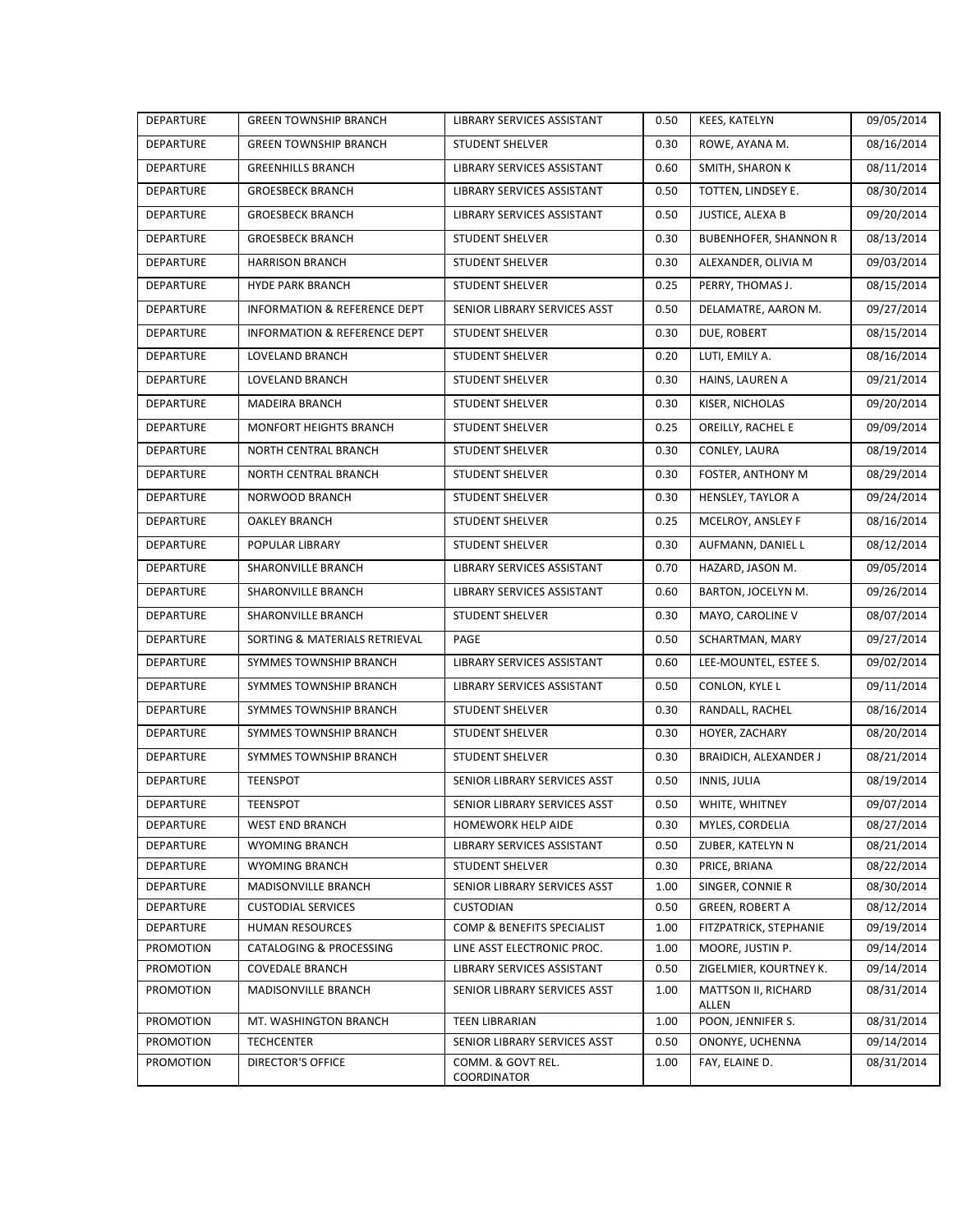| <b>DEPARTURE</b> | <b>GREEN TOWNSHIP BRANCH</b>  | LIBRARY SERVICES ASSISTANT       | 0.50 | KEES, KATELYN                | 09/05/2014 |
|------------------|-------------------------------|----------------------------------|------|------------------------------|------------|
| DEPARTURE        | <b>GREEN TOWNSHIP BRANCH</b>  | <b>STUDENT SHELVER</b>           | 0.30 | ROWE, AYANA M.               | 08/16/2014 |
| <b>DEPARTURE</b> | <b>GREENHILLS BRANCH</b>      | LIBRARY SERVICES ASSISTANT       | 0.60 | SMITH, SHARON K              | 08/11/2014 |
| <b>DEPARTURE</b> | <b>GROESBECK BRANCH</b>       | LIBRARY SERVICES ASSISTANT       | 0.50 | TOTTEN, LINDSEY E.           | 08/30/2014 |
| <b>DEPARTURE</b> | <b>GROESBECK BRANCH</b>       | LIBRARY SERVICES ASSISTANT       | 0.50 | JUSTICE, ALEXA B             | 09/20/2014 |
| DEPARTURE        | <b>GROESBECK BRANCH</b>       | <b>STUDENT SHELVER</b>           | 0.30 | <b>BUBENHOFER, SHANNON R</b> | 08/13/2014 |
| DEPARTURE        | <b>HARRISON BRANCH</b>        | <b>STUDENT SHELVER</b>           | 0.30 | ALEXANDER, OLIVIA M          | 09/03/2014 |
| <b>DEPARTURE</b> | <b>HYDE PARK BRANCH</b>       | STUDENT SHELVER                  | 0.25 | PERRY, THOMAS J.             | 08/15/2014 |
| DEPARTURE        | INFORMATION & REFERENCE DEPT  | SENIOR LIBRARY SERVICES ASST     | 0.50 | DELAMATRE, AARON M.          | 09/27/2014 |
| DEPARTURE        | INFORMATION & REFERENCE DEPT  | <b>STUDENT SHELVER</b>           | 0.30 | DUE, ROBERT                  | 08/15/2014 |
| <b>DEPARTURE</b> | LOVELAND BRANCH               | <b>STUDENT SHELVER</b>           | 0.20 | LUTI, EMILY A.               | 08/16/2014 |
| <b>DEPARTURE</b> | LOVELAND BRANCH               | <b>STUDENT SHELVER</b>           | 0.30 | HAINS, LAUREN A              | 09/21/2014 |
| DEPARTURE        | MADEIRA BRANCH                | <b>STUDENT SHELVER</b>           | 0.30 | KISER, NICHOLAS              | 09/20/2014 |
| DEPARTURE        | MONFORT HEIGHTS BRANCH        | <b>STUDENT SHELVER</b>           | 0.25 | OREILLY, RACHEL E            | 09/09/2014 |
| <b>DEPARTURE</b> | NORTH CENTRAL BRANCH          | <b>STUDENT SHELVER</b>           | 0.30 | CONLEY, LAURA                | 08/19/2014 |
| <b>DEPARTURE</b> | <b>NORTH CENTRAL BRANCH</b>   | <b>STUDENT SHELVER</b>           | 0.30 | FOSTER, ANTHONY M            | 08/29/2014 |
| DEPARTURE        | <b>NORWOOD BRANCH</b>         | <b>STUDENT SHELVER</b>           | 0.30 | <b>HENSLEY, TAYLOR A</b>     | 09/24/2014 |
| <b>DEPARTURE</b> | <b>OAKLEY BRANCH</b>          | <b>STUDENT SHELVER</b>           | 0.25 | MCELROY, ANSLEY F            | 08/16/2014 |
| <b>DEPARTURE</b> | POPULAR LIBRARY               | <b>STUDENT SHELVER</b>           | 0.30 | AUFMANN, DANIEL L            | 08/12/2014 |
| <b>DEPARTURE</b> | SHARONVILLE BRANCH            | LIBRARY SERVICES ASSISTANT       | 0.70 | HAZARD, JASON M.             | 09/05/2014 |
| <b>DEPARTURE</b> | SHARONVILLE BRANCH            | LIBRARY SERVICES ASSISTANT       | 0.60 | BARTON, JOCELYN M.           | 09/26/2014 |
| DEPARTURE        | SHARONVILLE BRANCH            | STUDENT SHELVER                  | 0.30 | MAYO, CAROLINE V             | 08/07/2014 |
| <b>DEPARTURE</b> | SORTING & MATERIALS RETRIEVAL | PAGE                             | 0.50 | SCHARTMAN, MARY              | 09/27/2014 |
| <b>DEPARTURE</b> | SYMMES TOWNSHIP BRANCH        | LIBRARY SERVICES ASSISTANT       | 0.60 | LEE-MOUNTEL, ESTEE S.        | 09/02/2014 |
| DEPARTURE        | SYMMES TOWNSHIP BRANCH        | LIBRARY SERVICES ASSISTANT       | 0.50 | CONLON, KYLE L               | 09/11/2014 |
| <b>DEPARTURE</b> | SYMMES TOWNSHIP BRANCH        | <b>STUDENT SHELVER</b>           | 0.30 | RANDALL, RACHEL              | 08/16/2014 |
| <b>DEPARTURE</b> | SYMMES TOWNSHIP BRANCH        | STUDENT SHELVER                  | 0.30 | HOYER, ZACHARY               | 08/20/2014 |
| DEPARTURE        | SYMMES TOWNSHIP BRANCH        | STUDENT SHELVER                  | 0.30 | BRAIDICH, ALEXANDER J        | 08/21/2014 |
| DEPARTURE        | <b>TEENSPOT</b>               | SENIOR LIBRARY SERVICES ASST     | 0.50 | INNIS, JULIA                 | 08/19/2014 |
| DEPARTURE        | <b>TEENSPOT</b>               | SENIOR LIBRARY SERVICES ASST     | 0.50 | WHITE, WHITNEY               | 09/07/2014 |
| DEPARTURE        | <b>WEST END BRANCH</b>        | HOMEWORK HELP AIDE               | 0.30 | MYLES, CORDELIA              | 08/27/2014 |
| DEPARTURE        | WYOMING BRANCH                | LIBRARY SERVICES ASSISTANT       | 0.50 | ZUBER, KATELYN N             | 08/21/2014 |
| <b>DEPARTURE</b> | WYOMING BRANCH                | STUDENT SHELVER                  | 0.30 | PRICE, BRIANA                | 08/22/2014 |
| DEPARTURE        | MADISONVILLE BRANCH           | SENIOR LIBRARY SERVICES ASST     | 1.00 | SINGER, CONNIE R             | 08/30/2014 |
| DEPARTURE        | <b>CUSTODIAL SERVICES</b>     | CUSTODIAN                        | 0.50 | <b>GREEN, ROBERT A</b>       | 08/12/2014 |
| DEPARTURE        | <b>HUMAN RESOURCES</b>        | COMP & BENEFITS SPECIALIST       | 1.00 | FITZPATRICK, STEPHANIE       | 09/19/2014 |
| PROMOTION        | CATALOGING & PROCESSING       | LINE ASST ELECTRONIC PROC.       | 1.00 | MOORE, JUSTIN P.             | 09/14/2014 |
| PROMOTION        | <b>COVEDALE BRANCH</b>        | LIBRARY SERVICES ASSISTANT       | 0.50 | ZIGELMIER, KOURTNEY K.       | 09/14/2014 |
| PROMOTION        | MADISONVILLE BRANCH           | SENIOR LIBRARY SERVICES ASST     | 1.00 | MATTSON II, RICHARD<br>ALLEN | 08/31/2014 |
| PROMOTION        | MT. WASHINGTON BRANCH         | TEEN LIBRARIAN                   | 1.00 | POON, JENNIFER S.            | 08/31/2014 |
| PROMOTION        | <b>TECHCENTER</b>             | SENIOR LIBRARY SERVICES ASST     | 0.50 | ONONYE, UCHENNA              | 09/14/2014 |
| PROMOTION        | DIRECTOR'S OFFICE             | COMM. & GOVT REL.<br>COORDINATOR | 1.00 | FAY, ELAINE D.               | 08/31/2014 |